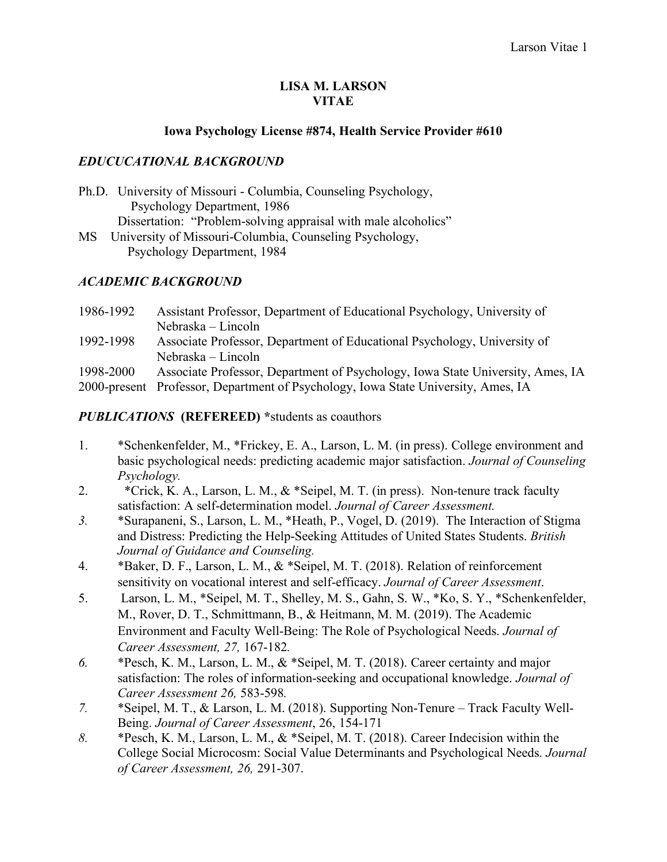#### **LISA M. LARSON VITAE**

#### **Iowa Psychology License #874, Health Service Provider #610**

### *EDUCUCATIONAL BACKGROUND*

Ph.D. University of Missouri - Columbia, Counseling Psychology, Psychology Department, 1986 Dissertation: "Problem-solving appraisal with male alcoholics" MS University of Missouri-Columbia, Counseling Psychology, Psychology Department, 1984

## *ACADEMIC BACKGROUND*

| 1986-1992 | Assistant Professor, Department of Educational Psychology, University of          |
|-----------|-----------------------------------------------------------------------------------|
|           | Nebraska – Lincoln                                                                |
| 1992-1998 | Associate Professor, Department of Educational Psychology, University of          |
|           | Nebraska – Lincoln                                                                |
| 1998-2000 | Associate Professor, Department of Psychology, Iowa State University, Ames, IA    |
|           | 2000-present Professor, Department of Psychology, Iowa State University, Ames, IA |

### *PUBLICATIONS* **(REFEREED) \***students as coauthors

- 1. \*Schenkenfelder, M., \*Frickey, E. A., Larson, L. M. (in press). College environment and basic psychological needs: predicting academic major satisfaction. *Journal of Counseling Psychology.*
- 2. \*Crick, K. A., Larson, L. M., & \*Seipel, M. T. (in press). Non-tenure track faculty satisfaction: A self-determination model. *Journal of Career Assessment.*
- *3.* \*Surapaneni, S., Larson, L. M., \*Heath, P., Vogel, D. (2019). The Interaction of Stigma and Distress: Predicting the Help-Seeking Attitudes of United States Students. *British Journal of Guidance and Counseling.*
- 4. \*Baker, D. F., Larson, L. M., & \*Seipel, M. T. (2018). Relation of reinforcement sensitivity on vocational interest and self-efficacy. *Journal of Career Assessment*.
- 5. Larson, L. M., \*Seipel, M. T., Shelley, M. S., Gahn, S. W., \*Ko, S. Y., \*Schenkenfelder, M., Rover, D. T., Schmittmann, B., & Heitmann, M. M. (2019). The Academic Environment and Faculty Well-Being: The Role of Psychological Needs. *Journal of Career Assessment, 27,* 167-182*.*
- *6.* \*Pesch, K. M., Larson, L. M., & \*Seipel, M. T. (2018). Career certainty and major satisfaction: The roles of information-seeking and occupational knowledge. *Journal of Career Assessment 26,* 583-598*.*
- *7.* \*Seipel, M. T., & Larson, L. M. (2018). Supporting Non-Tenure Track Faculty Well-Being. *Journal of Career Assessment*, 26, 154-171
- *8.* \*Pesch, K. M., Larson, L. M., & \*Seipel, M. T. (2018). Career Indecision within the College Social Microcosm: Social Value Determinants and Psychological Needs. *Journal of Career Assessment, 26,* 291-307.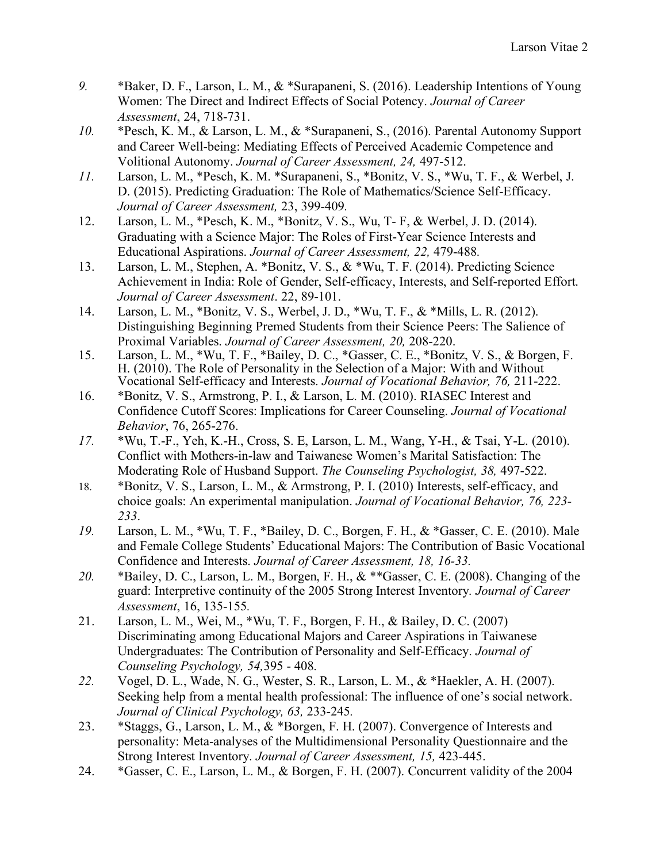- *9.* \*Baker, D. F., Larson, L. M., & \*Surapaneni, S. (2016). Leadership Intentions of Young Women: The Direct and Indirect Effects of Social Potency. *Journal of Career Assessment*, 24, 718-731.
- *10.* \*Pesch, K. M., & Larson, L. M., & \*Surapaneni, S., (2016). Parental Autonomy Support and Career Well-being: Mediating Effects of Perceived Academic Competence and Volitional Autonomy. *Journal of Career Assessment, 24,* 497-512.
- *11.* Larson, L. M., \*Pesch, K. M. \*Surapaneni, S., \*Bonitz, V. S., \*Wu, T. F., & Werbel, J. D. (2015). Predicting Graduation: The Role of Mathematics/Science Self-Efficacy. *Journal of Career Assessment,* 23, 399-409*.*
- 12. Larson, L. M., \*Pesch, K. M., \*Bonitz, V. S., Wu, T- F, & Werbel, J. D. (2014). Graduating with a Science Major: The Roles of First-Year Science Interests and Educational Aspirations. *Journal of Career Assessment, 22,* 479-488*.*
- 13. Larson, L. M., Stephen, A. \*Bonitz, V. S., & \*Wu, T. F. (2014). Predicting Science Achievement in India: Role of Gender, Self-efficacy, Interests, and Self-reported Effort. *Journal of Career Assessment*. 22, 89-101.
- 14. Larson, L. M., \*Bonitz, V. S., Werbel, J. D., \*Wu, T. F., & \*Mills, L. R. (2012). Distinguishing Beginning Premed Students from their Science Peers: The Salience of Proximal Variables. *Journal of Career Assessment, 20,* 208-220.
- 15. Larson, L. M., \*Wu, T. F., \*Bailey, D. C., \*Gasser, C. E., \*Bonitz, V. S., & Borgen, F. H. (2010). The Role of Personality in the Selection of a Major: With and Without Vocational Self-efficacy and Interests. *Journal of Vocational Behavior, 76,* 211-222.
- 16. \*Bonitz, V. S., Armstrong, P. I., & Larson, L. M. (2010). RIASEC Interest and Confidence Cutoff Scores: Implications for Career Counseling. *Journal of Vocational Behavior*, 76, 265-276.
- *17.* \*Wu, T.-F., Yeh, K.-H., Cross, S. E, Larson, L. M., Wang, Y-H., & Tsai, Y-L. (2010). Conflict with Mothers-in-law and Taiwanese Women's Marital Satisfaction: The Moderating Role of Husband Support. *The Counseling Psychologist, 38,* 497-522.
- 18. \*Bonitz, V. S., Larson, L. M., & Armstrong, P. I. (2010) Interests, self-efficacy, and choice goals: An experimental manipulation. *Journal of Vocational Behavior, 76, 223- 233*.
- *19.* Larson, L. M., \*Wu, T. F., \*Bailey, D. C., Borgen, F. H., & \*Gasser, C. E. (2010). Male and Female College Students' Educational Majors: The Contribution of Basic Vocational Confidence and Interests. *Journal of Career Assessment, 18, 16-33.*
- *20.* \*Bailey, D. C., Larson, L. M., Borgen, F. H., & \*\*Gasser, C. E. (2008). Changing of the guard: Interpretive continuity of the 2005 Strong Interest Inventory*. Journal of Career Assessment*, 16, 135-155*.*
- 21. Larson, L. M., Wei, M., \*Wu, T. F., Borgen, F. H., & Bailey, D. C. (2007) Discriminating among Educational Majors and Career Aspirations in Taiwanese Undergraduates: The Contribution of Personality and Self-Efficacy. *Journal of Counseling Psychology, 54,*395 - 408.
- *22.* Vogel, D. L., Wade, N. G., Wester, S. R., Larson, L. M., & \*Haekler, A. H. (2007). Seeking help from a mental health professional: The influence of one's social network. *Journal of Clinical Psychology, 63,* 233-245*.*
- 23. \*Staggs, G., Larson, L. M., & \*Borgen, F. H. (2007). Convergence of Interests and personality: Meta-analyses of the Multidimensional Personality Questionnaire and the Strong Interest Inventory. *Journal of Career Assessment, 15,* 423-445.
- 24. \*Gasser, C. E., Larson, L. M., & Borgen, F. H. (2007). Concurrent validity of the 2004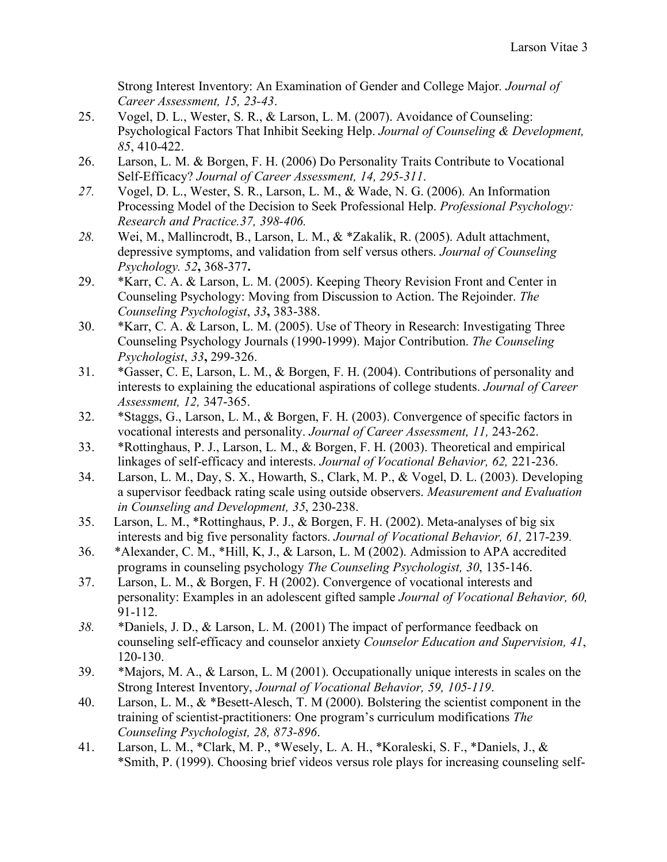Strong Interest Inventory: An Examination of Gender and College Major*. Journal of Career Assessment, 15, 23-43*.

- 25. Vogel, D. L., Wester, S. R., & Larson, L. M. (2007). Avoidance of Counseling: Psychological Factors That Inhibit Seeking Help. *Journal of Counseling & Development, 85*, 410-422.
- 26. Larson, L. M. & Borgen, F. H. (2006) Do Personality Traits Contribute to Vocational Self-Efficacy? *Journal of Career Assessment, 14, 295-311*.
- *27.* Vogel, D. L., Wester, S. R., Larson, L. M., & Wade, N. G. (2006). An Information Processing Model of the Decision to Seek Professional Help. *Professional Psychology: Research and Practice.37, 398-406.*
- *28.* Wei, M., Mallincrodt, B., Larson, L. M., & \*Zakalik, R. (2005). Adult attachment, depressive symptoms, and validation from self versus others. *Journal of Counseling Psychology. 52***,** 368-377**.**
- 29. \*Karr, C. A. & Larson, L. M. (2005). Keeping Theory Revision Front and Center in Counseling Psychology: Moving from Discussion to Action. The Rejoinder. *The Counseling Psychologist*, *33***,** 383-388.
- 30. \*Karr, C. A. & Larson, L. M. (2005). Use of Theory in Research: Investigating Three Counseling Psychology Journals (1990-1999). Major Contribution. *The Counseling Psychologist*, *33***,** 299-326.
- 31. \*Gasser, C. E, Larson, L. M., & Borgen, F. H. (2004). Contributions of personality and interests to explaining the educational aspirations of college students. *Journal of Career Assessment, 12,* 347-365.
- 32. \*Staggs, G., Larson, L. M., & Borgen, F. H. (2003). Convergence of specific factors in vocational interests and personality. *Journal of Career Assessment, 11,* 243-262.
- 33. \*Rottinghaus, P. J., Larson, L. M., & Borgen, F. H. (2003). Theoretical and empirical linkages of self-efficacy and interests. *Journal of Vocational Behavior, 62,* 221-236.
- 34. Larson, L. M., Day, S. X., Howarth, S., Clark, M. P., & Vogel, D. L. (2003). Developing a supervisor feedback rating scale using outside observers. *Measurement and Evaluation in Counseling and Development, 35*, 230-238.
- 35. Larson, L. M., \*Rottinghaus, P. J., & Borgen, F. H. (2002). Meta-analyses of big six interests and big five personality factors. *Journal of Vocational Behavior, 61,* 217-239*.*
- 36. \*Alexander, C. M., \*Hill, K, J., & Larson, L. M (2002). Admission to APA accredited programs in counseling psychology *The Counseling Psychologist, 30*, 135-146.
- 37. Larson, L. M., & Borgen, F. H (2002). Convergence of vocational interests and personality: Examples in an adolescent gifted sample *Journal of Vocational Behavior, 60,* 91-112.
- *38.* \*Daniels, J. D., & Larson, L. M. (2001) The impact of performance feedback on counseling self-efficacy and counselor anxiety *Counselor Education and Supervision, 41*, 120-130.
- 39. \*Majors, M. A., & Larson, L. M (2001). Occupationally unique interests in scales on the Strong Interest Inventory, *Journal of Vocational Behavior, 59, 105-119*.
- 40. Larson, L. M., & \*Besett-Alesch, T. M (2000). Bolstering the scientist component in the training of scientist-practitioners: One program's curriculum modifications *The Counseling Psychologist, 28, 873-896*.
- 41. Larson, L. M., \*Clark, M. P., \*Wesely, L. A. H., \*Koraleski, S. F., \*Daniels, J., & \*Smith, P. (1999). Choosing brief videos versus role plays for increasing counseling self-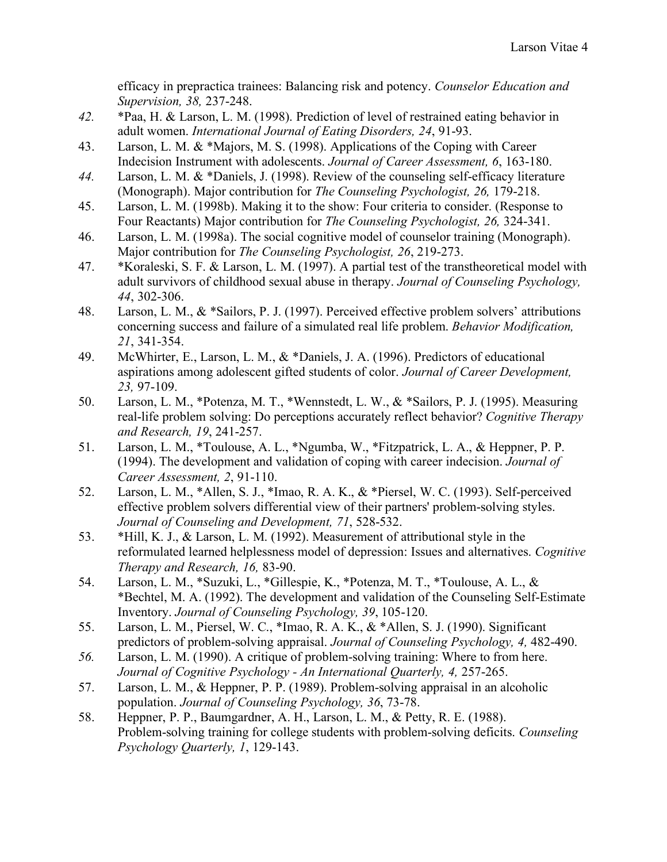efficacy in prepractica trainees: Balancing risk and potency. *Counselor Education and Supervision, 38,* 237-248.

- *42.* \*Paa, H. & Larson, L. M. (1998). Prediction of level of restrained eating behavior in adult women. *International Journal of Eating Disorders, 24*, 91-93.
- 43. Larson, L. M. & \*Majors, M. S. (1998). Applications of the Coping with Career Indecision Instrument with adolescents. *Journal of Career Assessment, 6*, 163-180.
- *44.* Larson, L. M. & \*Daniels, J. (1998). Review of the counseling self-efficacy literature (Monograph). Major contribution for *The Counseling Psychologist, 26,* 179-218.
- 45. Larson, L. M. (1998b). Making it to the show: Four criteria to consider. (Response to Four Reactants) Major contribution for *The Counseling Psychologist, 26,* 324-341.
- 46. Larson, L. M. (1998a). The social cognitive model of counselor training (Monograph). Major contribution for *The Counseling Psychologist, 26*, 219-273.
- 47. \*Koraleski, S. F. & Larson, L. M. (1997). A partial test of the transtheoretical model with adult survivors of childhood sexual abuse in therapy. *Journal of Counseling Psychology, 44*, 302-306.
- 48. Larson, L. M., & \*Sailors, P. J. (1997). Perceived effective problem solvers' attributions concerning success and failure of a simulated real life problem. *Behavior Modification, 21*, 341-354.
- 49. McWhirter, E., Larson, L. M., & \*Daniels, J. A. (1996). Predictors of educational aspirations among adolescent gifted students of color. *Journal of Career Development, 23,* 97-109.
- 50. Larson, L. M., \*Potenza, M. T., \*Wennstedt, L. W., & \*Sailors, P. J. (1995). Measuring real-life problem solving: Do perceptions accurately reflect behavior? *Cognitive Therapy and Research, 19*, 241-257.
- 51. Larson, L. M., \*Toulouse, A. L., \*Ngumba, W., \*Fitzpatrick, L. A., & Heppner, P. P. (1994). The development and validation of coping with career indecision. *Journal of Career Assessment, 2*, 91-110.
- 52. Larson, L. M., \*Allen, S. J., \*Imao, R. A. K., & \*Piersel, W. C. (1993). Self-perceived effective problem solvers differential view of their partners' problem-solving styles. *Journal of Counseling and Development, 71*, 528-532.
- 53. \*Hill, K. J., & Larson, L. M. (1992). Measurement of attributional style in the reformulated learned helplessness model of depression: Issues and alternatives. *Cognitive Therapy and Research, 16,* 83-90.
- 54. Larson, L. M., \*Suzuki, L., \*Gillespie, K., \*Potenza, M. T., \*Toulouse, A. L., & \*Bechtel, M. A. (1992). The development and validation of the Counseling Self-Estimate Inventory. *Journal of Counseling Psychology, 39*, 105-120.
- 55. Larson, L. M., Piersel, W. C., \*Imao, R. A. K., & \*Allen, S. J. (1990). Significant predictors of problem-solving appraisal. *Journal of Counseling Psychology, 4,* 482-490.
- *56.* Larson, L. M. (1990). A critique of problem-solving training: Where to from here. *Journal of Cognitive Psychology - An International Quarterly, 4,* 257-265.
- 57. Larson, L. M., & Heppner, P. P. (1989). Problem-solving appraisal in an alcoholic population. *Journal of Counseling Psychology, 36*, 73-78.
- 58. Heppner, P. P., Baumgardner, A. H., Larson, L. M., & Petty, R. E. (1988). Problem-solving training for college students with problem-solving deficits. *Counseling Psychology Quarterly, 1*, 129-143.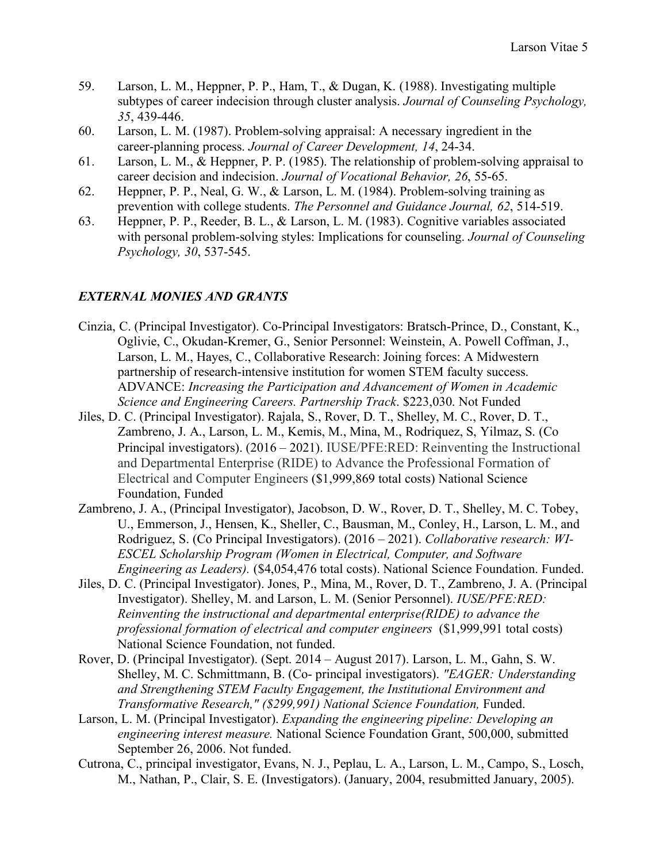- 59. Larson, L. M., Heppner, P. P., Ham, T., & Dugan, K. (1988). Investigating multiple subtypes of career indecision through cluster analysis. *Journal of Counseling Psychology, 35*, 439-446.
- 60. Larson, L. M. (1987). Problem-solving appraisal: A necessary ingredient in the career-planning process. *Journal of Career Development, 14*, 24-34.
- 61. Larson, L. M., & Heppner, P. P. (1985). The relationship of problem-solving appraisal to career decision and indecision. *Journal of Vocational Behavior, 26*, 55-65.
- 62. Heppner, P. P., Neal, G. W., & Larson, L. M. (1984). Problem-solving training as prevention with college students. *The Personnel and Guidance Journal, 62*, 514-519.
- 63. Heppner, P. P., Reeder, B. L., & Larson, L. M. (1983). Cognitive variables associated with personal problem-solving styles: Implications for counseling. *Journal of Counseling Psychology, 30*, 537-545.

## *EXTERNAL MONIES AND GRANTS*

- Cinzia, C. (Principal Investigator). Co-Principal Investigators: Bratsch-Prince, D., Constant, K., Oglivie, C., Okudan-Kremer, G., Senior Personnel: Weinstein, A. Powell Coffman, J., Larson, L. M., Hayes, C., Collaborative Research: Joining forces: A Midwestern partnership of research-intensive institution for women STEM faculty success. ADVANCE: *Increasing the Participation and Advancement of Women in Academic Science and Engineering Careers. Partnership Track*. \$223,030. Not Funded
- Jiles, D. C. (Principal Investigator). Rajala, S., Rover, D. T., Shelley, M. C., Rover, D. T., Zambreno, J. A., Larson, L. M., Kemis, M., Mina, M., Rodriquez, S, Yilmaz, S. (Co Principal investigators). (2016 – 2021). IUSE/PFE:RED: Reinventing the Instructional and Departmental Enterprise (RIDE) to Advance the Professional Formation of Electrical and Computer Engineers (\$1,999,869 total costs) National Science Foundation, Funded
- Zambreno, J. A., (Principal Investigator), Jacobson, D. W., Rover, D. T., Shelley, M. C. Tobey, U., Emmerson, J., Hensen, K., Sheller, C., Bausman, M., Conley, H., Larson, L. M., and Rodriguez, S. (Co Principal Investigators). (2016 – 2021). *Collaborative research: WI-ESCEL Scholarship Program (Women in Electrical, Computer, and Software Engineering as Leaders).* (\$4,054,476 total costs). National Science Foundation. Funded.
- Jiles, D. C. (Principal Investigator). Jones, P., Mina, M., Rover, D. T., Zambreno, J. A. (Principal Investigator). Shelley, M. and Larson, L. M. (Senior Personnel). *IUSE/PFE:RED: Reinventing the instructional and departmental enterprise(RIDE) to advance the professional formation of electrical and computer engineers* (\$1,999,991 total costs) National Science Foundation, not funded.
- Rover, D. (Principal Investigator). (Sept. 2014 August 2017). Larson, L. M., Gahn, S. W. Shelley, M. C. Schmittmann, B. (Co- principal investigators). *"EAGER: Understanding and Strengthening STEM Faculty Engagement, the Institutional Environment and Transformative Research," (\$299,991) National Science Foundation,* Funded.
- Larson, L. M. (Principal Investigator). *Expanding the engineering pipeline: Developing an engineering interest measure.* National Science Foundation Grant, 500,000, submitted September 26, 2006. Not funded.
- Cutrona, C., principal investigator, Evans, N. J., Peplau, L. A., Larson, L. M., Campo, S., Losch, M., Nathan, P., Clair, S. E. (Investigators). (January, 2004, resubmitted January, 2005).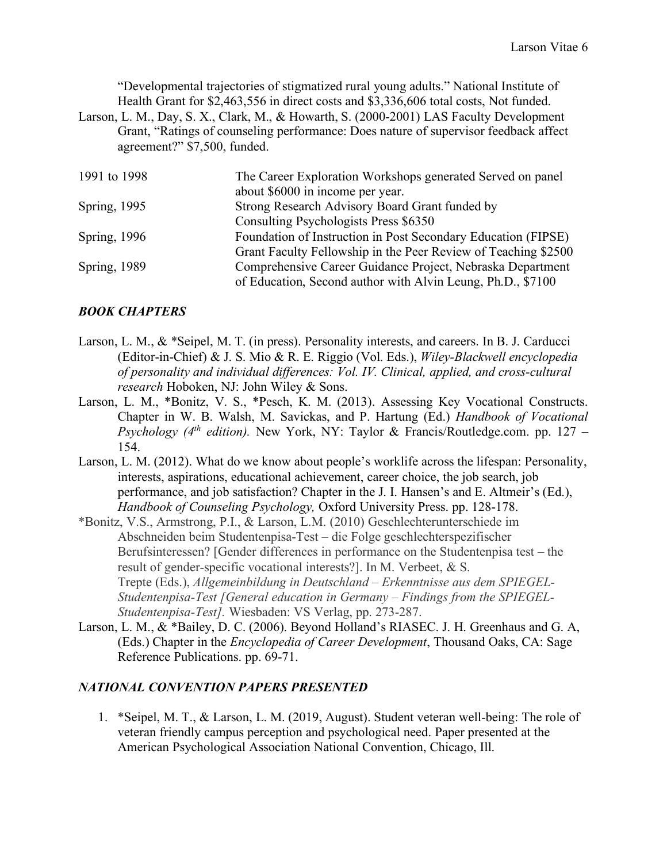"Developmental trajectories of stigmatized rural young adults." National Institute of Health Grant for \$2,463,556 in direct costs and \$3,336,606 total costs, Not funded.

Larson, L. M., Day, S. X., Clark, M., & Howarth, S. (2000-2001) LAS Faculty Development Grant, "Ratings of counseling performance: Does nature of supervisor feedback affect agreement?" \$7,500, funded.

| 1991 to 1998 | The Career Exploration Workshops generated Served on panel     |
|--------------|----------------------------------------------------------------|
|              | about \$6000 in income per year.                               |
| Spring, 1995 | Strong Research Advisory Board Grant funded by                 |
|              | Consulting Psychologists Press \$6350                          |
| Spring, 1996 | Foundation of Instruction in Post Secondary Education (FIPSE)  |
|              | Grant Faculty Fellowship in the Peer Review of Teaching \$2500 |
| Spring, 1989 | Comprehensive Career Guidance Project, Nebraska Department     |
|              | of Education, Second author with Alvin Leung, Ph.D., \$7100    |

## *BOOK CHAPTERS*

- Larson, L. M., & \*Seipel, M. T. (in press). Personality interests, and careers. In B. J. Carducci (Editor-in-Chief) & J. S. Mio & R. E. Riggio (Vol. Eds.), *Wiley-Blackwell encyclopedia of personality and individual differences: Vol. IV. Clinical, applied, and cross-cultural research* Hoboken, NJ: John Wiley & Sons.
- Larson, L. M., \*Bonitz, V. S., \*Pesch, K. M. (2013). Assessing Key Vocational Constructs. Chapter in W. B. Walsh, M. Savickas, and P. Hartung (Ed.) *Handbook of Vocational Psychology (4th edition).* New York, NY: Taylor & Francis/Routledge.com. pp. 127 – 154.
- Larson, L. M. (2012). What do we know about people's worklife across the lifespan: Personality, interests, aspirations, educational achievement, career choice, the job search, job performance, and job satisfaction? Chapter in the J. I. Hansen's and E. Altmeir's (Ed.), *Handbook of Counseling Psychology,* Oxford University Press. pp. 128-178.
- \*Bonitz, V.S., Armstrong, P.I., & Larson, L.M. (2010) Geschlechterunterschiede im Abschneiden beim Studentenpisa-Test – die Folge geschlechterspezifischer Berufsinteressen? [Gender differences in performance on the Studentenpisa test – the result of gender-specific vocational interests?]. In M. Verbeet, & S. Trepte (Eds.), *Allgemeinbildung in Deutschland – Erkenntnisse aus dem SPIEGEL-Studentenpisa-Test [General education in Germany – Findings from the SPIEGEL-Studentenpisa-Test].* Wiesbaden: VS Verlag, pp. 273-287.
- Larson, L. M., & \*Bailey, D. C. (2006). Beyond Holland's RIASEC. J. H. Greenhaus and G. A, (Eds.) Chapter in the *Encyclopedia of Career Development*, Thousand Oaks, CA: Sage Reference Publications. pp. 69-71.

#### *NATIONAL CONVENTION PAPERS PRESENTED*

1. \*Seipel, M. T., & Larson, L. M. (2019, August). Student veteran well-being: The role of veteran friendly campus perception and psychological need. Paper presented at the American Psychological Association National Convention, Chicago, Ill.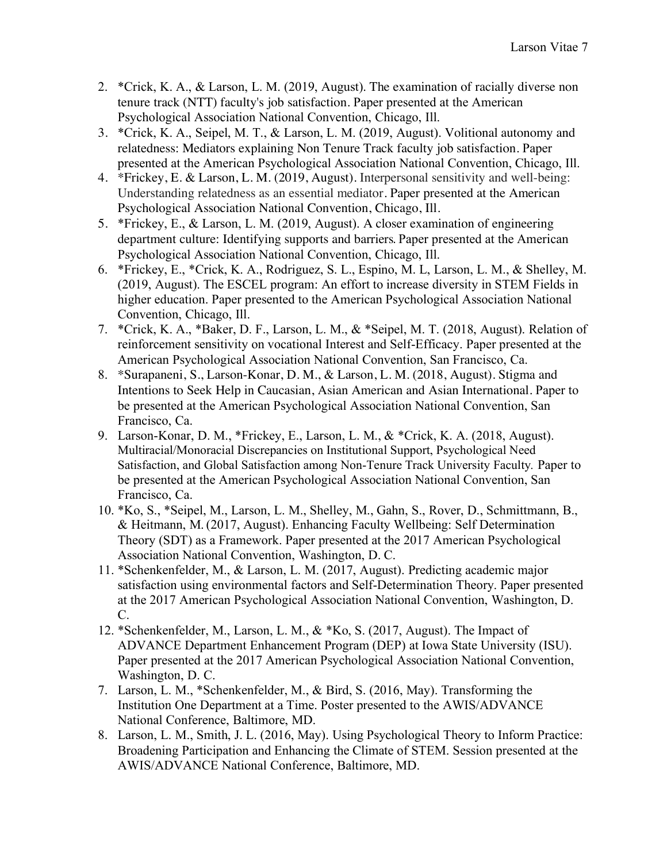- 2. \*Crick, K. A., & Larson, L. M. (2019, August). The examination of racially diverse non tenure track (NTT) faculty's job satisfaction. Paper presented at the American Psychological Association National Convention, Chicago, Ill.
- 3. \*Crick, K. A., Seipel, M. T., & Larson, L. M. (2019, August). Volitional autonomy and relatedness: Mediators explaining Non Tenure Track faculty job satisfaction. Paper presented at the American Psychological Association National Convention, Chicago, Ill.
- 4. \*Frickey, E. & Larson, L. M. (2019, August). Interpersonal sensitivity and well-being: Understanding relatedness as an essential mediator. Paper presented at the American Psychological Association National Convention, Chicago, Ill.
- 5. \*Frickey, E., & Larson, L. M. (2019, August). A closer examination of engineering department culture: Identifying supports and barriers. Paper presented at the American Psychological Association National Convention, Chicago, Ill.
- 6. \*Frickey, E., \*Crick, K. A., Rodriguez, S. L., Espino, M. L, Larson, L. M., & Shelley, M. (2019, August). The ESCEL program: An effort to increase diversity in STEM Fields in higher education. Paper presented to the American Psychological Association National Convention, Chicago, Ill.
- 7. \*Crick, K. A., \*Baker, D. F., Larson, L. M., & \*Seipel, M. T. (2018, August). Relation of reinforcement sensitivity on vocational Interest and Self-Efficacy. Paper presented at the American Psychological Association National Convention, San Francisco, Ca.
- 8. \*Surapaneni, S., Larson-Konar, D. M., & Larson, L. M. (2018, August). Stigma and Intentions to Seek Help in Caucasian, Asian American and Asian International. Paper to be presented at the American Psychological Association National Convention, San Francisco, Ca.
- 9. Larson-Konar, D. M., \*Frickey, E., Larson, L. M., & \*Crick, K. A. (2018, August). Multiracial/Monoracial Discrepancies on Institutional Support, Psychological Need Satisfaction, and Global Satisfaction among Non-Tenure Track University Faculty*.* Paper to be presented at the American Psychological Association National Convention, San Francisco, Ca.
- 10. \*Ko, S., \*Seipel, M., Larson, L. M., Shelley, M., Gahn, S., Rover, D., Schmittmann, B., & Heitmann, M. (2017, August). Enhancing Faculty Wellbeing: Self Determination Theory (SDT) as a Framework. Paper presented at the 2017 American Psychological Association National Convention, Washington, D. C.
- 11. \*Schenkenfelder, M., & Larson, L. M. (2017, August). Predicting academic major satisfaction using environmental factors and Self-Determination Theory. Paper presented at the 2017 American Psychological Association National Convention, Washington, D. C.
- 12. \*Schenkenfelder, M., Larson, L. M., & \*Ko, S. (2017, August). The Impact of ADVANCE Department Enhancement Program (DEP) at Iowa State University (ISU). Paper presented at the 2017 American Psychological Association National Convention, Washington, D. C.
- 7. Larson, L. M., \*Schenkenfelder, M., & Bird, S. (2016, May). Transforming the Institution One Department at a Time. Poster presented to the AWIS/ADVANCE National Conference, Baltimore, MD.
- 8. Larson, L. M., Smith, J. L. (2016, May). Using Psychological Theory to Inform Practice: Broadening Participation and Enhancing the Climate of STEM. Session presented at the AWIS/ADVANCE National Conference, Baltimore, MD.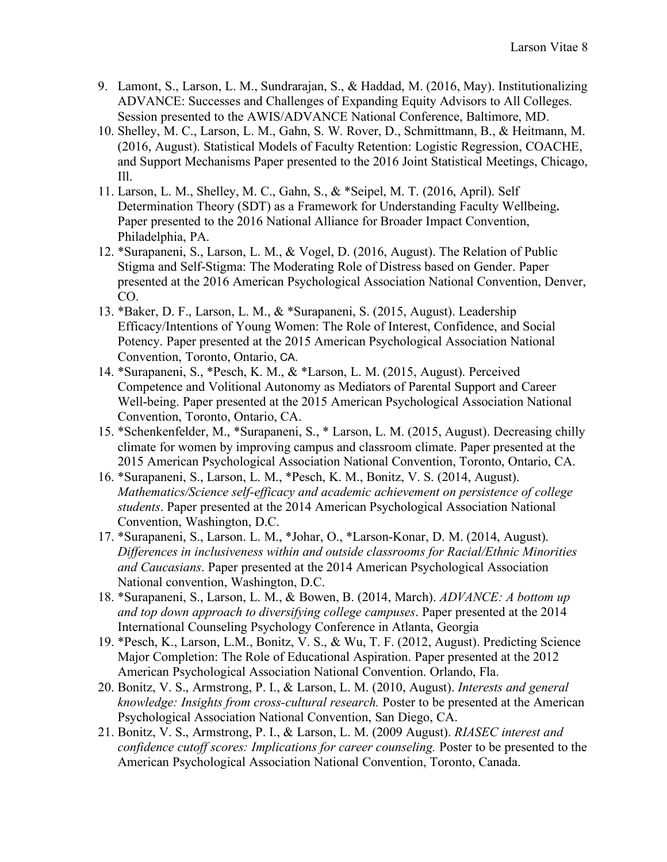- 9. Lamont, S., Larson, L. M., Sundrarajan, S., & Haddad, M. (2016, May). Institutionalizing ADVANCE: Successes and Challenges of Expanding Equity Advisors to All Colleges. Session presented to the AWIS/ADVANCE National Conference, Baltimore, MD.
- 10. Shelley, M. C., Larson, L. M., Gahn, S. W. Rover, D., Schmittmann, B., & Heitmann, M. (2016, August). Statistical Models of Faculty Retention: Logistic Regression, COACHE, and Support Mechanisms Paper presented to the 2016 Joint Statistical Meetings, Chicago, Ill.
- 11. Larson, L. M., Shelley, M. C., Gahn, S., & \*Seipel, M. T. (2016, April). Self Determination Theory (SDT) as a Framework for Understanding Faculty Wellbeing**.**  Paper presented to the 2016 National Alliance for Broader Impact Convention, Philadelphia, PA.
- 12. \*Surapaneni, S., Larson, L. M., & Vogel, D. (2016, August). The Relation of Public Stigma and Self-Stigma: The Moderating Role of Distress based on Gender. Paper presented at the 2016 American Psychological Association National Convention, Denver, CO.
- 13. \*Baker, D. F., Larson, L. M., & \*Surapaneni, S. (2015, August). Leadership Efficacy/Intentions of Young Women: The Role of Interest, Confidence, and Social Potency. Paper presented at the 2015 American Psychological Association National Convention, Toronto, Ontario, CA.
- 14. \*Surapaneni, S., \*Pesch, K. M., & \*Larson, L. M. (2015, August). Perceived Competence and Volitional Autonomy as Mediators of Parental Support and Career Well-being. Paper presented at the 2015 American Psychological Association National Convention, Toronto, Ontario, CA.
- 15. \*Schenkenfelder, M., \*Surapaneni, S., \* Larson, L. M. (2015, August). Decreasing chilly climate for women by improving campus and classroom climate. Paper presented at the 2015 American Psychological Association National Convention, Toronto, Ontario, CA.
- 16. \*Surapaneni, S., Larson, L. M., \*Pesch, K. M., Bonitz, V. S. (2014, August). *Mathematics/Science self-efficacy and academic achievement on persistence of college students*. Paper presented at the 2014 American Psychological Association National Convention, Washington, D.C.
- 17. \*Surapaneni, S., Larson. L. M., \*Johar, O., \*Larson-Konar, D. M. (2014, August). *Differences in inclusiveness within and outside classrooms for Racial/Ethnic Minorities and Caucasians*. Paper presented at the 2014 American Psychological Association National convention, Washington, D.C.
- 18. \*Surapaneni, S., Larson, L. M., & Bowen, B. (2014, March). *ADVANCE: A bottom up and top down approach to diversifying college campuses*. Paper presented at the 2014 International Counseling Psychology Conference in Atlanta, Georgia
- 19. \*Pesch, K., Larson, L.M., Bonitz, V. S., & Wu, T. F. (2012, August). Predicting Science Major Completion: The Role of Educational Aspiration. Paper presented at the 2012 American Psychological Association National Convention. Orlando, Fla.
- 20. Bonitz, V. S., Armstrong, P. I., & Larson, L. M. (2010, August). *Interests and general knowledge: Insights from cross-cultural research.* Poster to be presented at the American Psychological Association National Convention, San Diego, CA.
- 21. Bonitz, V. S., Armstrong, P. I., & Larson, L. M. (2009 August). *RIASEC interest and confidence cutoff scores: Implications for career counseling.* Poster to be presented to the American Psychological Association National Convention, Toronto, Canada.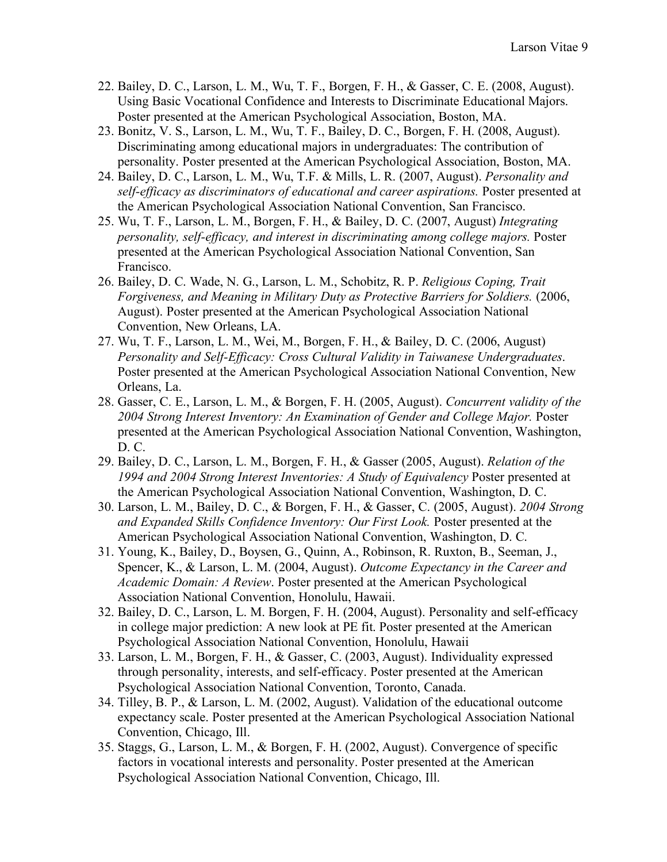- 22. Bailey, D. C., Larson, L. M., Wu, T. F., Borgen, F. H., & Gasser, C. E. (2008, August). Using Basic Vocational Confidence and Interests to Discriminate Educational Majors. Poster presented at the American Psychological Association, Boston, MA.
- 23. Bonitz, V. S., Larson, L. M., Wu, T. F., Bailey, D. C., Borgen, F. H. (2008, August). Discriminating among educational majors in undergraduates: The contribution of personality. Poster presented at the American Psychological Association, Boston, MA.
- 24. Bailey, D. C., Larson, L. M., Wu, T.F. & Mills, L. R. (2007, August). *Personality and self-efficacy as discriminators of educational and career aspirations.* Poster presented at the American Psychological Association National Convention, San Francisco.
- 25. Wu, T. F., Larson, L. M., Borgen, F. H., & Bailey, D. C. (2007, August) *Integrating personality, self-efficacy, and interest in discriminating among college majors.* Poster presented at the American Psychological Association National Convention, San Francisco.
- 26. Bailey, D. C. Wade, N. G., Larson, L. M., Schobitz, R. P. *Religious Coping, Trait Forgiveness, and Meaning in Military Duty as Protective Barriers for Soldiers.* (2006, August). Poster presented at the American Psychological Association National Convention, New Orleans, LA.
- 27. Wu, T. F., Larson, L. M., Wei, M., Borgen, F. H., & Bailey, D. C. (2006, August) *Personality and Self-Efficacy: Cross Cultural Validity in Taiwanese Undergraduates*. Poster presented at the American Psychological Association National Convention, New Orleans, La.
- 28. Gasser, C. E., Larson, L. M., & Borgen, F. H. (2005, August). *Concurrent validity of the*  2004 Strong Interest Inventory: An Examination of Gender and College Major. Poster presented at the American Psychological Association National Convention, Washington, D. C.
- 29. Bailey, D. C., Larson, L. M., Borgen, F. H., & Gasser (2005, August). *Relation of the 1994 and 2004 Strong Interest Inventories: A Study of Equivalency* Poster presented at the American Psychological Association National Convention, Washington, D. C.
- 30. Larson, L. M., Bailey, D. C., & Borgen, F. H., & Gasser, C. (2005, August). *2004 Strong and Expanded Skills Confidence Inventory: Our First Look.* Poster presented at the American Psychological Association National Convention, Washington, D. C.
- 31. Young, K., Bailey, D., Boysen, G., Quinn, A., Robinson, R. Ruxton, B., Seeman, J., Spencer, K., & Larson, L. M. (2004, August). *Outcome Expectancy in the Career and Academic Domain: A Review*. Poster presented at the American Psychological Association National Convention, Honolulu, Hawaii.
- 32. Bailey, D. C., Larson, L. M. Borgen, F. H. (2004, August). Personality and self-efficacy in college major prediction: A new look at PE fit. Poster presented at the American Psychological Association National Convention, Honolulu, Hawaii
- 33. Larson, L. M., Borgen, F. H., & Gasser, C. (2003, August). Individuality expressed through personality, interests, and self-efficacy. Poster presented at the American Psychological Association National Convention, Toronto, Canada.
- 34. Tilley, B. P., & Larson, L. M. (2002, August). Validation of the educational outcome expectancy scale. Poster presented at the American Psychological Association National Convention, Chicago, Ill.
- 35. Staggs, G., Larson, L. M., & Borgen, F. H. (2002, August). Convergence of specific factors in vocational interests and personality. Poster presented at the American Psychological Association National Convention, Chicago, Ill.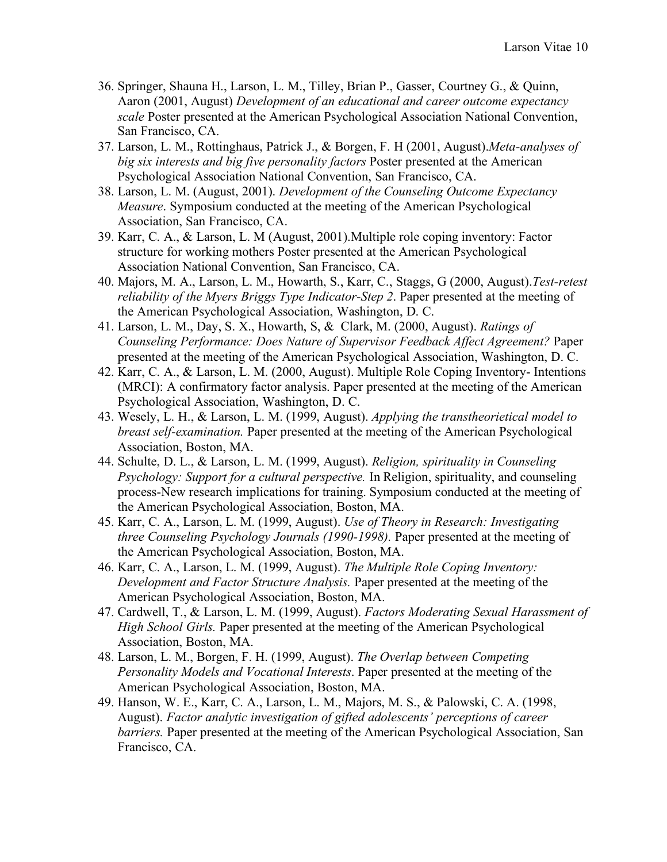- 36. Springer, Shauna H., Larson, L. M., Tilley, Brian P., Gasser, Courtney G., & Quinn, Aaron (2001, August) *Development of an educational and career outcome expectancy scale* Poster presented at the American Psychological Association National Convention, San Francisco, CA.
- 37. Larson, L. M., Rottinghaus, Patrick J., & Borgen, F. H (2001, August).*Meta-analyses of big six interests and big five personality factors* Poster presented at the American Psychological Association National Convention, San Francisco, CA.
- 38. Larson, L. M. (August, 2001). *Development of the Counseling Outcome Expectancy Measure*. Symposium conducted at the meeting of the American Psychological Association, San Francisco, CA.
- 39. Karr, C. A., & Larson, L. M (August, 2001).Multiple role coping inventory: Factor structure for working mothers Poster presented at the American Psychological Association National Convention, San Francisco, CA.
- 40. Majors, M. A., Larson, L. M., Howarth, S., Karr, C., Staggs, G (2000, August).*Test-retest reliability of the Myers Briggs Type Indicator-Step 2*. Paper presented at the meeting of the American Psychological Association, Washington, D. C.
- 41. Larson, L. M., Day, S. X., Howarth, S, & Clark, M. (2000, August). *Ratings of Counseling Performance: Does Nature of Supervisor Feedback Affect Agreement?* Paper presented at the meeting of the American Psychological Association, Washington, D. C.
- 42. Karr, C. A., & Larson, L. M. (2000, August). Multiple Role Coping Inventory- Intentions (MRCI): A confirmatory factor analysis. Paper presented at the meeting of the American Psychological Association, Washington, D. C.
- 43. Wesely, L. H., & Larson, L. M. (1999, August). *Applying the transtheorietical model to breast self-examination.* Paper presented at the meeting of the American Psychological Association, Boston, MA.
- 44. Schulte, D. L., & Larson, L. M. (1999, August). *Religion, spirituality in Counseling Psychology: Support for a cultural perspective.* In Religion, spirituality, and counseling process-New research implications for training. Symposium conducted at the meeting of the American Psychological Association, Boston, MA.
- 45. Karr, C. A., Larson, L. M. (1999, August). *Use of Theory in Research: Investigating three Counseling Psychology Journals (1990-1998).* Paper presented at the meeting of the American Psychological Association, Boston, MA.
- 46. Karr, C. A., Larson, L. M. (1999, August). *The Multiple Role Coping Inventory: Development and Factor Structure Analysis.* Paper presented at the meeting of the American Psychological Association, Boston, MA.
- 47. Cardwell, T., & Larson, L. M. (1999, August). *Factors Moderating Sexual Harassment of High School Girls.* Paper presented at the meeting of the American Psychological Association, Boston, MA.
- 48. Larson, L. M., Borgen, F. H. (1999, August). *The Overlap between Competing Personality Models and Vocational Interests*. Paper presented at the meeting of the American Psychological Association, Boston, MA.
- 49. Hanson, W. E., Karr, C. A., Larson, L. M., Majors, M. S., & Palowski, C. A. (1998, August). *Factor analytic investigation of gifted adolescents' perceptions of career barriers.* Paper presented at the meeting of the American Psychological Association, San Francisco, CA.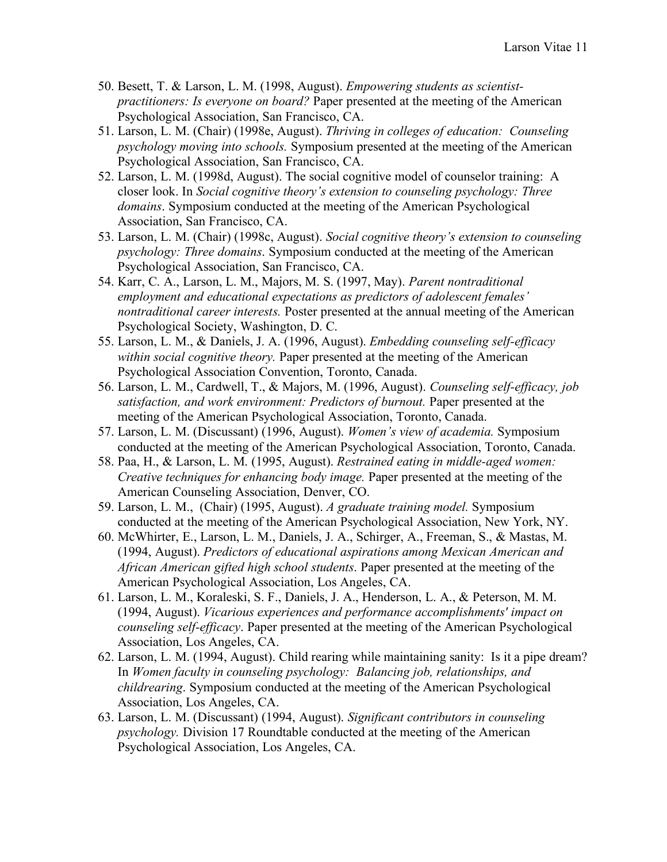- 50. Besett, T. & Larson, L. M. (1998, August). *Empowering students as scientistpractitioners: Is everyone on board?* Paper presented at the meeting of the American Psychological Association, San Francisco, CA.
- 51. Larson, L. M. (Chair) (1998e, August). *Thriving in colleges of education: Counseling psychology moving into schools.* Symposium presented at the meeting of the American Psychological Association, San Francisco, CA.
- 52. Larson, L. M. (1998d, August). The social cognitive model of counselor training: A closer look. In *Social cognitive theory's extension to counseling psychology: Three domains*. Symposium conducted at the meeting of the American Psychological Association, San Francisco, CA.
- 53. Larson, L. M. (Chair) (1998c, August). *Social cognitive theory's extension to counseling psychology: Three domains*. Symposium conducted at the meeting of the American Psychological Association, San Francisco, CA.
- 54. Karr, C. A., Larson, L. M., Majors, M. S. (1997, May). *Parent nontraditional employment and educational expectations as predictors of adolescent females' nontraditional career interests.* Poster presented at the annual meeting of the American Psychological Society, Washington, D. C.
- 55. Larson, L. M., & Daniels, J. A. (1996, August). *Embedding counseling self-efficacy within social cognitive theory.* Paper presented at the meeting of the American Psychological Association Convention, Toronto, Canada.
- 56. Larson, L. M., Cardwell, T., & Majors, M. (1996, August). *Counseling self-efficacy, job satisfaction, and work environment: Predictors of burnout.* Paper presented at the meeting of the American Psychological Association, Toronto, Canada.
- 57. Larson, L. M. (Discussant) (1996, August). *Women's view of academia.* Symposium conducted at the meeting of the American Psychological Association, Toronto, Canada.
- 58. Paa, H., & Larson, L. M. (1995, August). *Restrained eating in middle-aged women: Creative techniques for enhancing body image.* Paper presented at the meeting of the American Counseling Association, Denver, CO.
- 59. Larson, L. M., (Chair) (1995, August). *A graduate training model.* Symposium conducted at the meeting of the American Psychological Association, New York, NY.
- 60. McWhirter, E., Larson, L. M., Daniels, J. A., Schirger, A., Freeman, S., & Mastas, M. (1994, August). *Predictors of educational aspirations among Mexican American and African American gifted high school students*. Paper presented at the meeting of the American Psychological Association, Los Angeles, CA.
- 61. Larson, L. M., Koraleski, S. F., Daniels, J. A., Henderson, L. A., & Peterson, M. M. (1994, August). *Vicarious experiences and performance accomplishments' impact on counseling self-efficacy*. Paper presented at the meeting of the American Psychological Association, Los Angeles, CA.
- 62. Larson, L. M. (1994, August). Child rearing while maintaining sanity: Is it a pipe dream? In *Women faculty in counseling psychology: Balancing job, relationships, and childrearing*. Symposium conducted at the meeting of the American Psychological Association, Los Angeles, CA.
- 63. Larson, L. M. (Discussant) (1994, August). *Significant contributors in counseling psychology.* Division 17 Roundtable conducted at the meeting of the American Psychological Association, Los Angeles, CA.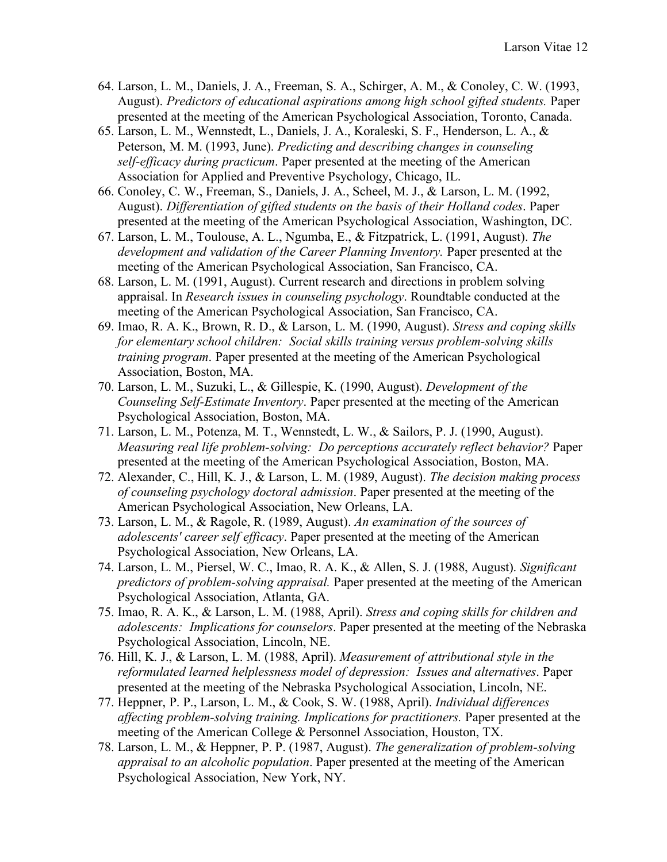- 64. Larson, L. M., Daniels, J. A., Freeman, S. A., Schirger, A. M., & Conoley, C. W. (1993, August). *Predictors of educational aspirations among high school gifted students.* Paper presented at the meeting of the American Psychological Association, Toronto, Canada.
- 65. Larson, L. M., Wennstedt, L., Daniels, J. A., Koraleski, S. F., Henderson, L. A., & Peterson, M. M. (1993, June). *Predicting and describing changes in counseling self-efficacy during practicum*. Paper presented at the meeting of the American Association for Applied and Preventive Psychology, Chicago, IL.
- 66. Conoley, C. W., Freeman, S., Daniels, J. A., Scheel, M. J., & Larson, L. M. (1992, August). *Differentiation of gifted students on the basis of their Holland codes*. Paper presented at the meeting of the American Psychological Association, Washington, DC.
- 67. Larson, L. M., Toulouse, A. L., Ngumba, E., & Fitzpatrick, L. (1991, August). *The development and validation of the Career Planning Inventory.* Paper presented at the meeting of the American Psychological Association, San Francisco, CA.
- 68. Larson, L. M. (1991, August). Current research and directions in problem solving appraisal. In *Research issues in counseling psychology*. Roundtable conducted at the meeting of the American Psychological Association, San Francisco, CA.
- 69. Imao, R. A. K., Brown, R. D., & Larson, L. M. (1990, August). *Stress and coping skills for elementary school children: Social skills training versus problem-solving skills training program*. Paper presented at the meeting of the American Psychological Association, Boston, MA.
- 70. Larson, L. M., Suzuki, L., & Gillespie, K. (1990, August). *Development of the Counseling Self-Estimate Inventory*. Paper presented at the meeting of the American Psychological Association, Boston, MA.
- 71. Larson, L. M., Potenza, M. T., Wennstedt, L. W., & Sailors, P. J. (1990, August). *Measuring real life problem-solving: Do perceptions accurately reflect behavior?* Paper presented at the meeting of the American Psychological Association, Boston, MA.
- 72. Alexander, C., Hill, K. J., & Larson, L. M. (1989, August). *The decision making process of counseling psychology doctoral admission*. Paper presented at the meeting of the American Psychological Association, New Orleans, LA.
- 73. Larson, L. M., & Ragole, R. (1989, August). *An examination of the sources of adolescents' career self efficacy*. Paper presented at the meeting of the American Psychological Association, New Orleans, LA.
- 74. Larson, L. M., Piersel, W. C., Imao, R. A. K., & Allen, S. J. (1988, August). *Significant predictors of problem-solving appraisal.* Paper presented at the meeting of the American Psychological Association, Atlanta, GA.
- 75. Imao, R. A. K., & Larson, L. M. (1988, April). *Stress and coping skills for children and adolescents: Implications for counselors*. Paper presented at the meeting of the Nebraska Psychological Association, Lincoln, NE.
- 76. Hill, K. J., & Larson, L. M. (1988, April). *Measurement of attributional style in the reformulated learned helplessness model of depression: Issues and alternatives*. Paper presented at the meeting of the Nebraska Psychological Association, Lincoln, NE.
- 77. Heppner, P. P., Larson, L. M., & Cook, S. W. (1988, April). *Individual differences affecting problem-solving training. Implications for practitioners.* Paper presented at the meeting of the American College & Personnel Association, Houston, TX.
- 78. Larson, L. M., & Heppner, P. P. (1987, August). *The generalization of problem-solving appraisal to an alcoholic population*. Paper presented at the meeting of the American Psychological Association, New York, NY.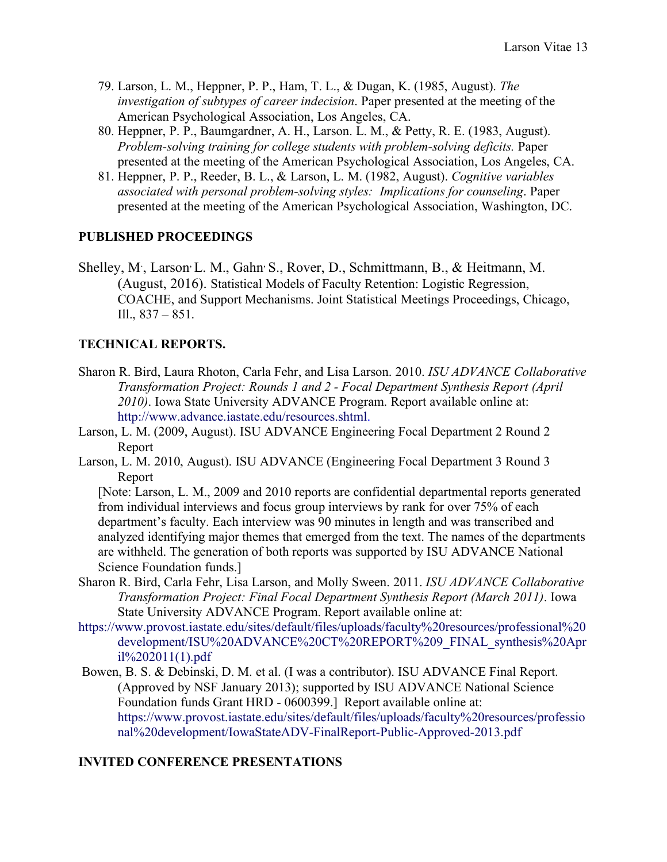- 79. Larson, L. M., Heppner, P. P., Ham, T. L., & Dugan, K. (1985, August). *The investigation of subtypes of career indecision*. Paper presented at the meeting of the American Psychological Association, Los Angeles, CA.
- 80. Heppner, P. P., Baumgardner, A. H., Larson. L. M., & Petty, R. E. (1983, August). *Problem-solving training for college students with problem-solving deficits.* Paper presented at the meeting of the American Psychological Association, Los Angeles, CA.
- 81. Heppner, P. P., Reeder, B. L., & Larson, L. M. (1982, August). *Cognitive variables associated with personal problem-solving styles: Implications for counseling*. Paper presented at the meeting of the American Psychological Association, Washington, DC.

#### **PUBLISHED PROCEEDINGS**

Shelley, M., Larson<sup>,</sup> L. M., Gahn<sup>,</sup> S., Rover, D., Schmittmann, B., & Heitmann, M. (August, 2016). Statistical Models of Faculty Retention: Logistic Regression, COACHE, and Support Mechanisms. Joint Statistical Meetings Proceedings, Chicago, Ill., 837 – 851.

### **TECHNICAL REPORTS.**

- Sharon R. Bird, Laura Rhoton, Carla Fehr, and Lisa Larson. 2010. *ISU ADVANCE Collaborative Transformation Project: Rounds 1 and 2 - Focal Department Synthesis Report (April 2010)*. Iowa State University ADVANCE Program. Report available online at: http://www.advance.iastate.edu/resources.shtml.
- Larson, L. M. (2009, August). ISU ADVANCE Engineering Focal Department 2 Round 2 Report
- Larson, L. M. 2010, August). ISU ADVANCE (Engineering Focal Department 3 Round 3 Report

[Note: Larson, L. M., 2009 and 2010 reports are confidential departmental reports generated from individual interviews and focus group interviews by rank for over 75% of each department's faculty. Each interview was 90 minutes in length and was transcribed and analyzed identifying major themes that emerged from the text. The names of the departments are withheld. The generation of both reports was supported by ISU ADVANCE National Science Foundation funds.]

- Sharon R. Bird, Carla Fehr, Lisa Larson, and Molly Sween. 2011. *ISU ADVANCE Collaborative Transformation Project: Final Focal Department Synthesis Report (March 2011)*. Iowa State University ADVANCE Program. Report available online at:
- https://www.provost.iastate.edu/sites/default/files/uploads/faculty%20resources/professional%20 development/ISU%20ADVANCE%20CT%20REPORT%209\_FINAL\_synthesis%20Apr il%202011(1).pdf
- Bowen, B. S. & Debinski, D. M. et al. (I was a contributor). ISU ADVANCE Final Report. (Approved by NSF January 2013); supported by ISU ADVANCE National Science Foundation funds Grant HRD - 0600399.] Report available online at: https://www.provost.iastate.edu/sites/default/files/uploads/faculty%20resources/professio nal%20development/IowaStateADV-FinalReport-Public-Approved-2013.pdf

## **INVITED CONFERENCE PRESENTATIONS**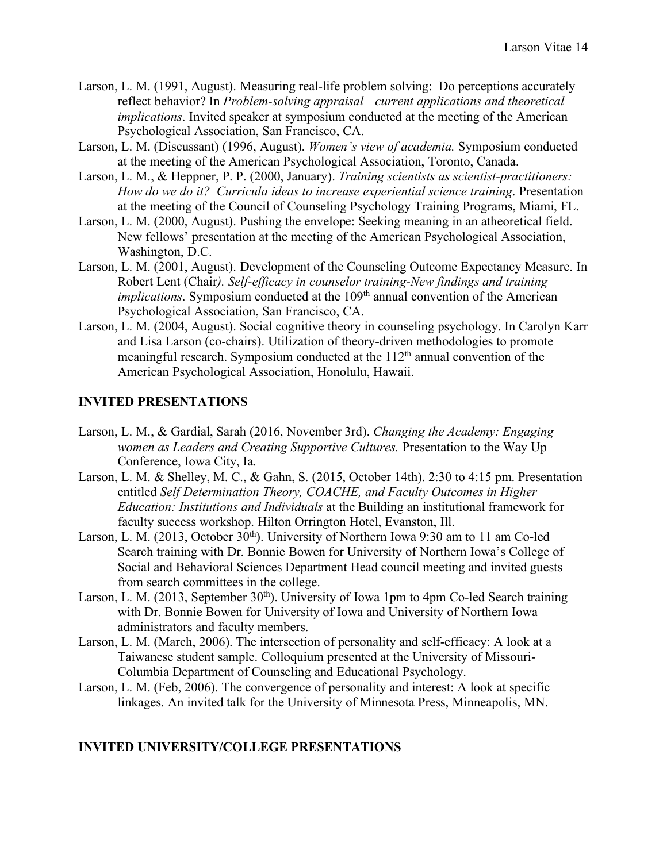- Larson, L. M. (1991, August). Measuring real-life problem solving: Do perceptions accurately reflect behavior? In *Problem-solving appraisal—current applications and theoretical implications*. Invited speaker at symposium conducted at the meeting of the American Psychological Association, San Francisco, CA.
- Larson, L. M. (Discussant) (1996, August). *Women's view of academia.* Symposium conducted at the meeting of the American Psychological Association, Toronto, Canada.
- Larson, L. M., & Heppner, P. P. (2000, January). *Training scientists as scientist-practitioners: How do we do it? Curricula ideas to increase experiential science training*. Presentation at the meeting of the Council of Counseling Psychology Training Programs, Miami, FL.
- Larson, L. M. (2000, August). Pushing the envelope: Seeking meaning in an atheoretical field. New fellows' presentation at the meeting of the American Psychological Association, Washington, D.C.
- Larson, L. M. (2001, August). Development of the Counseling Outcome Expectancy Measure. In Robert Lent (Chair*). Self-efficacy in counselor training-New findings and training implications*. Symposium conducted at the 109<sup>th</sup> annual convention of the American Psychological Association, San Francisco, CA.
- Larson, L. M. (2004, August). Social cognitive theory in counseling psychology. In Carolyn Karr and Lisa Larson (co-chairs). Utilization of theory-driven methodologies to promote meaningful research. Symposium conducted at the 112<sup>th</sup> annual convention of the American Psychological Association, Honolulu, Hawaii.

#### **INVITED PRESENTATIONS**

- Larson, L. M., & Gardial, Sarah (2016, November 3rd). *Changing the Academy: Engaging women as Leaders and Creating Supportive Cultures.* Presentation to the Way Up Conference, Iowa City, Ia.
- Larson, L. M. & Shelley, M. C., & Gahn, S. (2015, October 14th). 2:30 to 4:15 pm. Presentation entitled *Self Determination Theory, COACHE, and Faculty Outcomes in Higher Education: Institutions and Individuals* at the Building an institutional framework for faculty success workshop. Hilton Orrington Hotel, Evanston, Ill.
- Larson, L. M. (2013, October  $30<sup>th</sup>$ ). University of Northern Iowa 9:30 am to 11 am Co-led Search training with Dr. Bonnie Bowen for University of Northern Iowa's College of Social and Behavioral Sciences Department Head council meeting and invited guests from search committees in the college.
- Larson, L. M. (2013, September  $30<sup>th</sup>$ ). University of Iowa 1pm to 4pm Co-led Search training with Dr. Bonnie Bowen for University of Iowa and University of Northern Iowa administrators and faculty members.
- Larson, L. M. (March, 2006). The intersection of personality and self-efficacy: A look at a Taiwanese student sample. Colloquium presented at the University of Missouri-Columbia Department of Counseling and Educational Psychology.
- Larson, L. M. (Feb, 2006). The convergence of personality and interest: A look at specific linkages. An invited talk for the University of Minnesota Press, Minneapolis, MN.

#### **INVITED UNIVERSITY/COLLEGE PRESENTATIONS**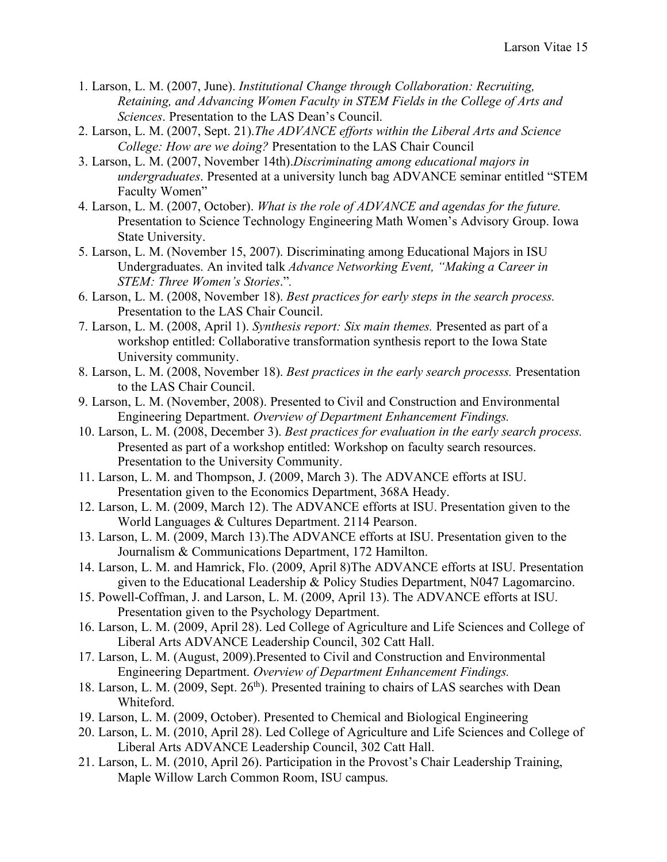- 1. Larson, L. M. (2007, June). *Institutional Change through Collaboration: Recruiting, Retaining, and Advancing Women Faculty in STEM Fields in the College of Arts and Sciences*. Presentation to the LAS Dean's Council.
- 2. Larson, L. M. (2007, Sept. 21).*The ADVANCE efforts within the Liberal Arts and Science College: How are we doing?* Presentation to the LAS Chair Council
- 3. Larson, L. M. (2007, November 14th).*Discriminating among educational majors in undergraduates*. Presented at a university lunch bag ADVANCE seminar entitled "STEM Faculty Women"
- 4. Larson, L. M. (2007, October). *What is the role of ADVANCE and agendas for the future.* Presentation to Science Technology Engineering Math Women's Advisory Group. Iowa State University.
- 5. Larson, L. M. (November 15, 2007). Discriminating among Educational Majors in ISU Undergraduates. An invited talk *Advance Networking Event, "Making a Career in STEM: Three Women's Stories*."*.*
- 6. Larson, L. M. (2008, November 18). *Best practices for early steps in the search process.* Presentation to the LAS Chair Council.
- 7. Larson, L. M. (2008, April 1). *Synthesis report: Six main themes.* Presented as part of a workshop entitled: Collaborative transformation synthesis report to the Iowa State University community.
- 8. Larson, L. M. (2008, November 18). *Best practices in the early search processs.* Presentation to the LAS Chair Council.
- 9. Larson, L. M. (November, 2008). Presented to Civil and Construction and Environmental Engineering Department. *Overview of Department Enhancement Findings.*
- 10. Larson, L. M. (2008, December 3). *Best practices for evaluation in the early search process.*  Presented as part of a workshop entitled: Workshop on faculty search resources. Presentation to the University Community.
- 11. Larson, L. M. and Thompson, J. (2009, March 3). The ADVANCE efforts at ISU. Presentation given to the Economics Department, 368A Heady.
- 12. Larson, L. M. (2009, March 12). The ADVANCE efforts at ISU. Presentation given to the World Languages & Cultures Department. 2114 Pearson.
- 13. Larson, L. M. (2009, March 13).The ADVANCE efforts at ISU. Presentation given to the Journalism & Communications Department, 172 Hamilton.
- 14. Larson, L. M. and Hamrick, Flo. (2009, April 8)The ADVANCE efforts at ISU. Presentation given to the Educational Leadership & Policy Studies Department, N047 Lagomarcino.
- 15. Powell-Coffman, J. and Larson, L. M. (2009, April 13). The ADVANCE efforts at ISU. Presentation given to the Psychology Department.
- 16. Larson, L. M. (2009, April 28). Led College of Agriculture and Life Sciences and College of Liberal Arts ADVANCE Leadership Council, 302 Catt Hall.
- 17. Larson, L. M. (August, 2009).Presented to Civil and Construction and Environmental Engineering Department. *Overview of Department Enhancement Findings.*
- 18. Larson, L. M. (2009, Sept. 26<sup>th</sup>). Presented training to chairs of LAS searches with Dean Whiteford.
- 19. Larson, L. M. (2009, October). Presented to Chemical and Biological Engineering
- 20. Larson, L. M. (2010, April 28). Led College of Agriculture and Life Sciences and College of Liberal Arts ADVANCE Leadership Council, 302 Catt Hall.
- 21. Larson, L. M. (2010, April 26). Participation in the Provost's Chair Leadership Training, Maple Willow Larch Common Room, ISU campus.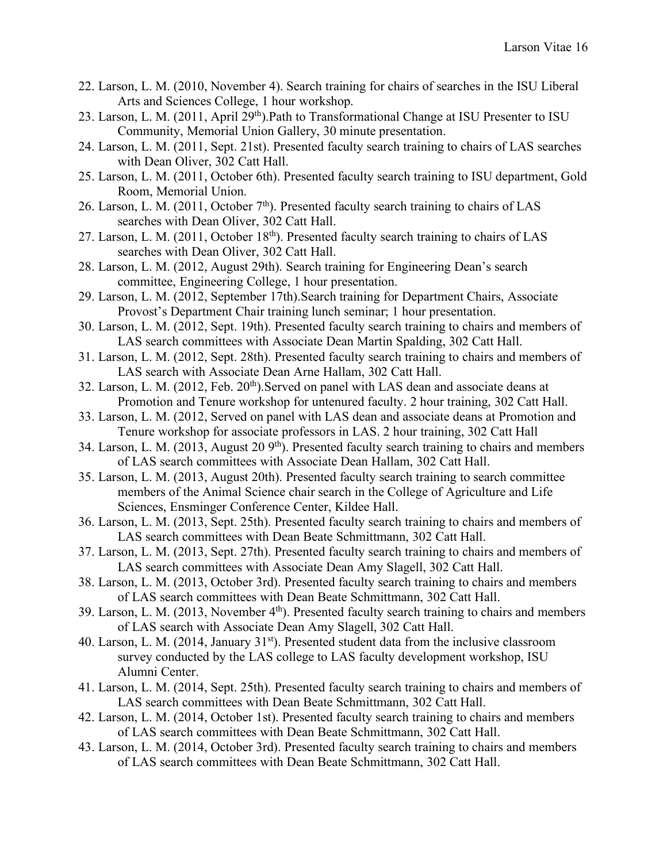- 22. Larson, L. M. (2010, November 4). Search training for chairs of searches in the ISU Liberal Arts and Sciences College, 1 hour workshop.
- 23. Larson, L. M. (2011, April 29<sup>th</sup>).Path to Transformational Change at ISU Presenter to ISU Community, Memorial Union Gallery, 30 minute presentation.
- 24. Larson, L. M. (2011, Sept. 21st). Presented faculty search training to chairs of LAS searches with Dean Oliver, 302 Catt Hall.
- 25. Larson, L. M. (2011, October 6th). Presented faculty search training to ISU department, Gold Room, Memorial Union.
- 26. Larson, L. M. (2011, October  $7<sup>th</sup>$ ). Presented faculty search training to chairs of LAS searches with Dean Oliver, 302 Catt Hall.
- 27. Larson, L. M. (2011, October 18<sup>th</sup>). Presented faculty search training to chairs of LAS searches with Dean Oliver, 302 Catt Hall.
- 28. Larson, L. M. (2012, August 29th). Search training for Engineering Dean's search committee, Engineering College, 1 hour presentation.
- 29. Larson, L. M. (2012, September 17th).Search training for Department Chairs, Associate Provost's Department Chair training lunch seminar; 1 hour presentation.
- 30. Larson, L. M. (2012, Sept. 19th). Presented faculty search training to chairs and members of LAS search committees with Associate Dean Martin Spalding, 302 Catt Hall.
- 31. Larson, L. M. (2012, Sept. 28th). Presented faculty search training to chairs and members of LAS search with Associate Dean Arne Hallam, 302 Catt Hall.
- 32. Larson, L. M. (2012, Feb. 20<sup>th</sup>). Served on panel with LAS dean and associate deans at Promotion and Tenure workshop for untenured faculty. 2 hour training, 302 Catt Hall.
- 33. Larson, L. M. (2012, Served on panel with LAS dean and associate deans at Promotion and Tenure workshop for associate professors in LAS. 2 hour training, 302 Catt Hall
- 34. Larson, L. M. (2013, August 20 9<sup>th</sup>). Presented faculty search training to chairs and members of LAS search committees with Associate Dean Hallam, 302 Catt Hall.
- 35. Larson, L. M. (2013, August 20th). Presented faculty search training to search committee members of the Animal Science chair search in the College of Agriculture and Life Sciences, Ensminger Conference Center, Kildee Hall.
- 36. Larson, L. M. (2013, Sept. 25th). Presented faculty search training to chairs and members of LAS search committees with Dean Beate Schmittmann, 302 Catt Hall.
- 37. Larson, L. M. (2013, Sept. 27th). Presented faculty search training to chairs and members of LAS search committees with Associate Dean Amy Slagell, 302 Catt Hall.
- 38. Larson, L. M. (2013, October 3rd). Presented faculty search training to chairs and members of LAS search committees with Dean Beate Schmittmann, 302 Catt Hall.
- 39. Larson, L. M. (2013, November 4th). Presented faculty search training to chairs and members of LAS search with Associate Dean Amy Slagell, 302 Catt Hall.
- 40. Larson, L. M. (2014, January 31<sup>st</sup>). Presented student data from the inclusive classroom survey conducted by the LAS college to LAS faculty development workshop, ISU Alumni Center.
- 41. Larson, L. M. (2014, Sept. 25th). Presented faculty search training to chairs and members of LAS search committees with Dean Beate Schmittmann, 302 Catt Hall.
- 42. Larson, L. M. (2014, October 1st). Presented faculty search training to chairs and members of LAS search committees with Dean Beate Schmittmann, 302 Catt Hall.
- 43. Larson, L. M. (2014, October 3rd). Presented faculty search training to chairs and members of LAS search committees with Dean Beate Schmittmann, 302 Catt Hall.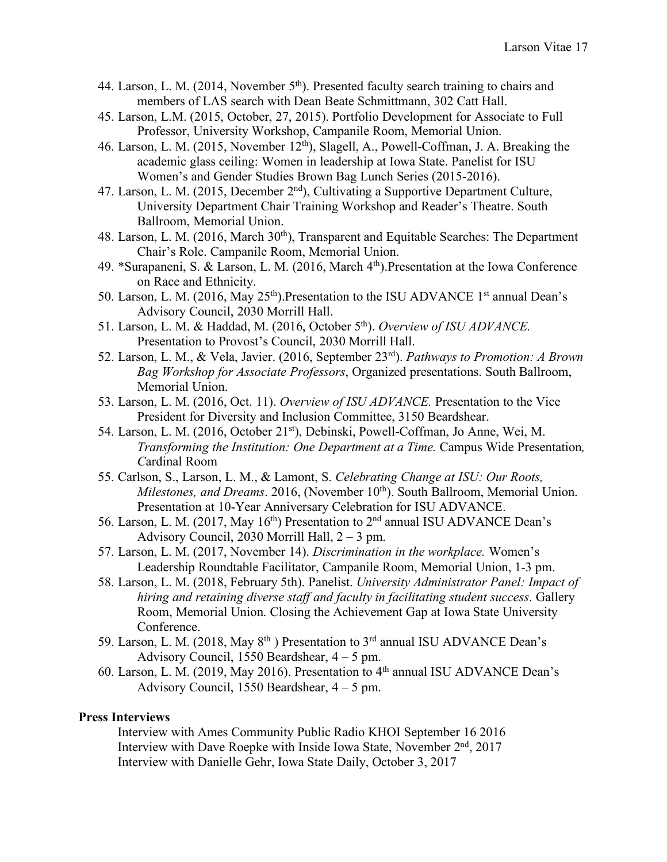- 44. Larson, L. M. (2014, November  $5<sup>th</sup>$ ). Presented faculty search training to chairs and members of LAS search with Dean Beate Schmittmann, 302 Catt Hall.
- 45. Larson, L.M. (2015, October, 27, 2015). Portfolio Development for Associate to Full Professor, University Workshop, Campanile Room, Memorial Union.
- 46. Larson, L. M. (2015, November 12th), Slagell, A., Powell-Coffman, J. A. Breaking the academic glass ceiling: Women in leadership at Iowa State. Panelist for ISU Women's and Gender Studies Brown Bag Lunch Series (2015-2016).
- 47. Larson, L. M. (2015, December 2nd), Cultivating a Supportive Department Culture, University Department Chair Training Workshop and Reader's Theatre. South Ballroom, Memorial Union.
- 48. Larson, L. M. (2016, March 30<sup>th</sup>), Transparent and Equitable Searches: The Department Chair's Role. Campanile Room, Memorial Union.
- 49. \*Surapaneni, S. & Larson, L. M. (2016, March 4th).Presentation at the Iowa Conference on Race and Ethnicity.
- 50. Larson, L. M. (2016, May  $25<sup>th</sup>$ ). Presentation to the ISU ADVANCE 1<sup>st</sup> annual Dean's Advisory Council, 2030 Morrill Hall.
- 51. Larson, L. M. & Haddad, M. (2016, October 5th). *Overview of ISU ADVANCE.* Presentation to Provost's Council, 2030 Morrill Hall.
- 52. Larson, L. M., & Vela, Javier. (2016, September 23rd). *Pathways to Promotion: A Brown Bag Workshop for Associate Professors*, Organized presentations. South Ballroom, Memorial Union.
- 53. Larson, L. M. (2016, Oct. 11). *Overview of ISU ADVANCE.* Presentation to the Vice President for Diversity and Inclusion Committee, 3150 Beardshear.
- 54. Larson, L. M. (2016, October 21st), Debinski, Powell-Coffman, Jo Anne, Wei, M. *Transforming the Institution: One Department at a Time. Campus Wide Presentation, C*ardinal Room
- 55. Carlson, S., Larson, L. M., & Lamont, S. *Celebrating Change at ISU: Our Roots, Milestones, and Dreams.* 2016, (November 10<sup>th</sup>). South Ballroom, Memorial Union. Presentation at 10-Year Anniversary Celebration for ISU ADVANCE.
- 56. Larson, L. M. (2017, May 16<sup>th</sup>) Presentation to 2<sup>nd</sup> annual ISU ADVANCE Dean's Advisory Council, 2030 Morrill Hall, 2 – 3 pm.
- 57. Larson, L. M. (2017, November 14). *Discrimination in the workplace.* Women's Leadership Roundtable Facilitator, Campanile Room, Memorial Union, 1-3 pm.
- 58. Larson, L. M. (2018, February 5th). Panelist. *University Administrator Panel: Impact of hiring and retaining diverse staff and faculty in facilitating student success*. Gallery Room, Memorial Union. Closing the Achievement Gap at Iowa State University Conference.
- 59. Larson, L. M. (2018, May 8<sup>th</sup>) Presentation to 3<sup>rd</sup> annual ISU ADVANCE Dean's Advisory Council, 1550 Beardshear, 4 – 5 pm.
- 60. Larson, L. M. (2019, May 2016). Presentation to 4th annual ISU ADVANCE Dean's Advisory Council, 1550 Beardshear, 4 – 5 pm.

#### **Press Interviews**

Interview with Ames Community Public Radio KHOI September 16 2016 Interview with Dave Roepke with Inside Iowa State, November 2<sup>nd</sup>, 2017 Interview with Danielle Gehr, Iowa State Daily, October 3, 2017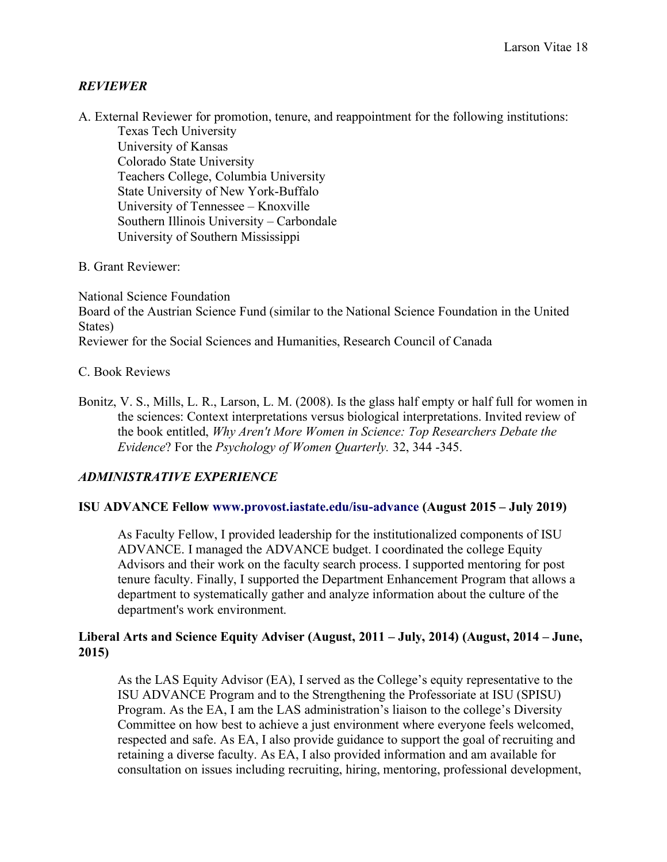#### *REVIEWER*

A. External Reviewer for promotion, tenure, and reappointment for the following institutions: Texas Tech University

University of Kansas Colorado State University Teachers College, Columbia University State University of New York-Buffalo University of Tennessee – Knoxville Southern Illinois University – Carbondale University of Southern Mississippi

#### B. Grant Reviewer:

National Science Foundation Board of the Austrian Science Fund (similar to the National Science Foundation in the United States) Reviewer for the Social Sciences and Humanities, Research Council of Canada

#### C. Book Reviews

Bonitz, V. S., Mills, L. R., Larson, L. M. (2008). Is the glass half empty or half full for women in the sciences: Context interpretations versus biological interpretations. Invited review of the book entitled, *Why Aren't More Women in Science: Top Researchers Debate the Evidence*? For the *Psychology of Women Quarterly.* 32, 344 -345.

#### *ADMINISTRATIVE EXPERIENCE*

#### **ISU ADVANCE Fellow www.provost.iastate.edu/isu-advance (August 2015 – July 2019)**

As Faculty Fellow, I provided leadership for the institutionalized components of ISU ADVANCE. I managed the ADVANCE budget. I coordinated the college Equity Advisors and their work on the faculty search process. I supported mentoring for post tenure faculty. Finally, I supported the Department Enhancement Program that allows a department to systematically gather and analyze information about the culture of the department's work environment.

#### **Liberal Arts and Science Equity Adviser (August, 2011 – July, 2014) (August, 2014 – June, 2015)**

As the LAS Equity Advisor (EA), I served as the College's equity representative to the ISU ADVANCE Program and to the Strengthening the Professoriate at ISU (SPISU) Program. As the EA, I am the LAS administration's liaison to the college's Diversity Committee on how best to achieve a just environment where everyone feels welcomed, respected and safe. As EA, I also provide guidance to support the goal of recruiting and retaining a diverse faculty. As EA, I also provided information and am available for consultation on issues including recruiting, hiring, mentoring, professional development,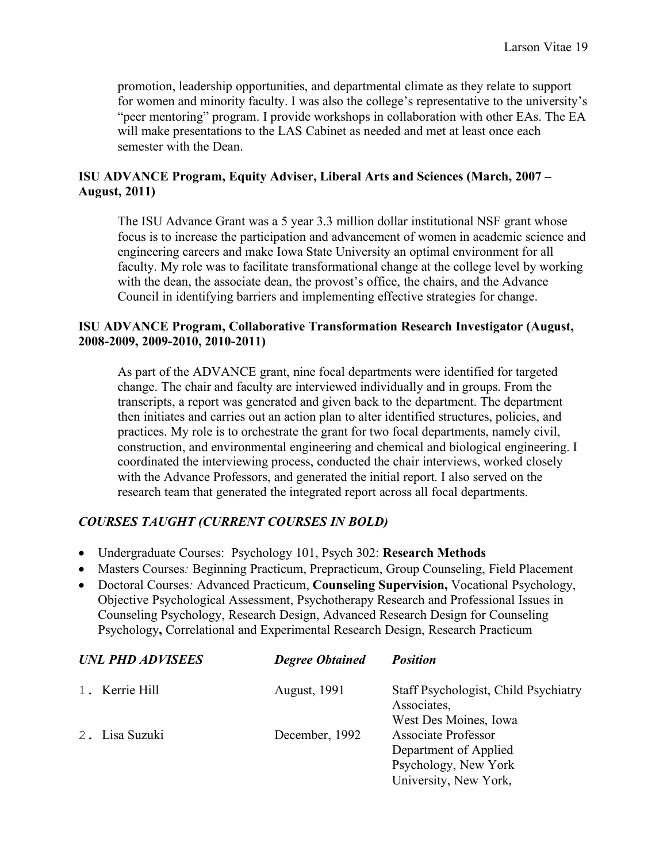promotion, leadership opportunities, and departmental climate as they relate to support for women and minority faculty. I was also the college's representative to the university's "peer mentoring" program. I provide workshops in collaboration with other EAs. The EA will make presentations to the LAS Cabinet as needed and met at least once each semester with the Dean.

#### **ISU ADVANCE Program, Equity Adviser, Liberal Arts and Sciences (March, 2007 – August, 2011)**

The ISU Advance Grant was a 5 year 3.3 million dollar institutional NSF grant whose focus is to increase the participation and advancement of women in academic science and engineering careers and make Iowa State University an optimal environment for all faculty. My role was to facilitate transformational change at the college level by working with the dean, the associate dean, the provost's office, the chairs, and the Advance Council in identifying barriers and implementing effective strategies for change.

#### **ISU ADVANCE Program, Collaborative Transformation Research Investigator (August, 2008-2009, 2009-2010, 2010-2011)**

As part of the ADVANCE grant, nine focal departments were identified for targeted change. The chair and faculty are interviewed individually and in groups. From the transcripts, a report was generated and given back to the department. The department then initiates and carries out an action plan to alter identified structures, policies, and practices. My role is to orchestrate the grant for two focal departments, namely civil, construction, and environmental engineering and chemical and biological engineering. I coordinated the interviewing process, conducted the chair interviews, worked closely with the Advance Professors, and generated the initial report. I also served on the research team that generated the integrated report across all focal departments.

## *COURSES TAUGHT (CURRENT COURSES IN BOLD)*

- Undergraduate Courses: Psychology 101, Psych 302: **Research Methods**
- Masters Courses*:* Beginning Practicum, Prepracticum, Group Counseling, Field Placement
- Doctoral Courses*:* Advanced Practicum, **Counseling Supervision,** Vocational Psychology, Objective Psychological Assessment, Psychotherapy Research and Professional Issues in Counseling Psychology, Research Design, Advanced Research Design for Counseling Psychology**,** Correlational and Experimental Research Design, Research Practicum

| <b>UNL PHD ADVISEES</b> | <b>Degree Obtained</b> | <b>Position</b>                                                              |
|-------------------------|------------------------|------------------------------------------------------------------------------|
| 1. Kerrie Hill          | <b>August, 1991</b>    | Staff Psychologist, Child Psychiatry<br>Associates,                          |
| 2. Lisa Suzuki          | December, 1992         | West Des Moines, Iowa<br><b>Associate Professor</b><br>Department of Applied |
|                         |                        | Psychology, New York<br>University, New York,                                |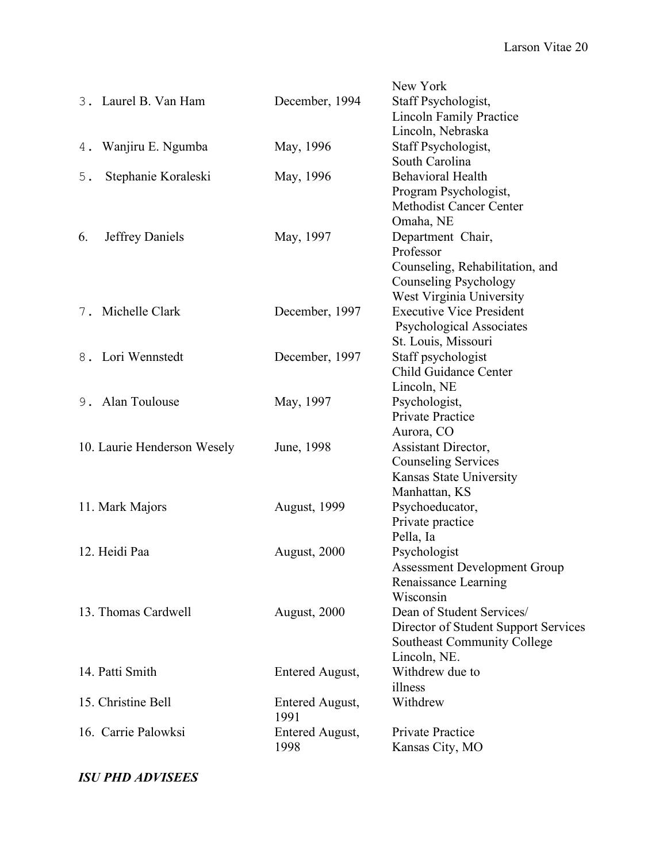|                              |                      | New York                             |
|------------------------------|----------------------|--------------------------------------|
| 3. Laurel B. Van Ham         | December, 1994       | Staff Psychologist,                  |
|                              |                      | <b>Lincoln Family Practice</b>       |
|                              |                      | Lincoln, Nebraska                    |
| Wanjiru E. Ngumba<br>4.      | May, 1996            | Staff Psychologist,                  |
|                              |                      | South Carolina                       |
| Stephanie Koraleski<br>$5$ . | May, 1996            | <b>Behavioral Health</b>             |
|                              |                      | Program Psychologist,                |
|                              |                      | <b>Methodist Cancer Center</b>       |
|                              |                      | Omaha, NE                            |
| Jeffrey Daniels<br>6.        | May, 1997            | Department Chair,                    |
|                              |                      | Professor                            |
|                              |                      | Counseling, Rehabilitation, and      |
|                              |                      | Counseling Psychology                |
|                              |                      | West Virginia University             |
| 7. Michelle Clark            | December, 1997       | <b>Executive Vice President</b>      |
|                              |                      | Psychological Associates             |
|                              |                      | St. Louis, Missouri                  |
| 8. Lori Wennstedt            | December, 1997       | Staff psychologist                   |
|                              |                      | <b>Child Guidance Center</b>         |
|                              |                      | Lincoln, NE                          |
| 9. Alan Toulouse             | May, 1997            | Psychologist,                        |
|                              |                      | Private Practice                     |
|                              |                      | Aurora, CO                           |
| 10. Laurie Henderson Wesely  | June, 1998           | Assistant Director,                  |
|                              |                      | <b>Counseling Services</b>           |
|                              |                      | Kansas State University              |
|                              |                      | Manhattan, KS                        |
| 11. Mark Majors              | <b>August</b> , 1999 | Psychoeducator,                      |
|                              |                      | Private practice                     |
|                              |                      | Pella, Ia                            |
| 12. Heidi Paa                | August, 2000         | Psychologist                         |
|                              |                      | <b>Assessment Development Group</b>  |
|                              |                      | Renaissance Learning                 |
|                              |                      | Wisconsin                            |
| 13. Thomas Cardwell          | August, 2000         | Dean of Student Services/            |
|                              |                      | Director of Student Support Services |
|                              |                      | <b>Southeast Community College</b>   |
|                              |                      | Lincoln, NE.                         |
| 14. Patti Smith              | Entered August,      | Withdrew due to                      |
|                              |                      | illness                              |
| 15. Christine Bell           | Entered August,      | Withdrew                             |
|                              | 1991                 |                                      |
| 16. Carrie Palowksi          | Entered August,      | Private Practice                     |
|                              | 1998                 | Kansas City, MO                      |

# *ISU PHD ADVISEES*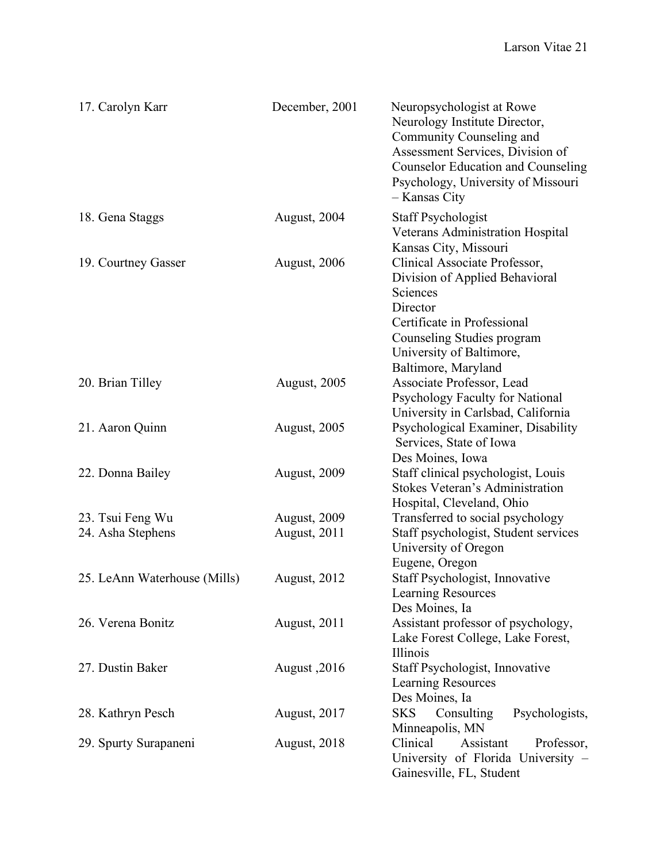| 17. Carolyn Karr             | December, 2001 | Neuropsychologist at Rowe<br>Neurology Institute Director,<br>Community Counseling and<br>Assessment Services, Division of<br><b>Counselor Education and Counseling</b><br>Psychology, University of Missouri<br>- Kansas City   |
|------------------------------|----------------|----------------------------------------------------------------------------------------------------------------------------------------------------------------------------------------------------------------------------------|
| 18. Gena Staggs              | August, 2004   | <b>Staff Psychologist</b><br>Veterans Administration Hospital                                                                                                                                                                    |
| 19. Courtney Gasser          | August, 2006   | Kansas City, Missouri<br>Clinical Associate Professor,<br>Division of Applied Behavioral<br>Sciences<br>Director<br>Certificate in Professional<br>Counseling Studies program<br>University of Baltimore,<br>Baltimore, Maryland |
| 20. Brian Tilley             | August, 2005   | Associate Professor, Lead<br>Psychology Faculty for National<br>University in Carlsbad, California                                                                                                                               |
| 21. Aaron Quinn              | August, 2005   | Psychological Examiner, Disability<br>Services, State of Iowa<br>Des Moines, Iowa                                                                                                                                                |
| 22. Donna Bailey             | August, 2009   | Staff clinical psychologist, Louis<br><b>Stokes Veteran's Administration</b><br>Hospital, Cleveland, Ohio                                                                                                                        |
| 23. Tsui Feng Wu             | August, 2009   | Transferred to social psychology                                                                                                                                                                                                 |
| 24. Asha Stephens            | August, 2011   | Staff psychologist, Student services<br>University of Oregon<br>Eugene, Oregon                                                                                                                                                   |
| 25. LeAnn Waterhouse (Mills) | August, 2012   | Staff Psychologist, Innovative<br>Learning Resources<br>Des Moines, Ia                                                                                                                                                           |
| 26. Verena Bonitz            | August, 2011   | Assistant professor of psychology,<br>Lake Forest College, Lake Forest,<br>Illinois                                                                                                                                              |
| 27. Dustin Baker             | August, 2016   | Staff Psychologist, Innovative<br>Learning Resources<br>Des Moines, Ia                                                                                                                                                           |
| 28. Kathryn Pesch            | August, 2017   | <b>SKS</b><br>Consulting<br>Psychologists,<br>Minneapolis, MN                                                                                                                                                                    |
| 29. Spurty Surapaneni        | August, 2018   | Clinical<br>Professor,<br>Assistant<br>University of Florida University -<br>Gainesville, FL, Student                                                                                                                            |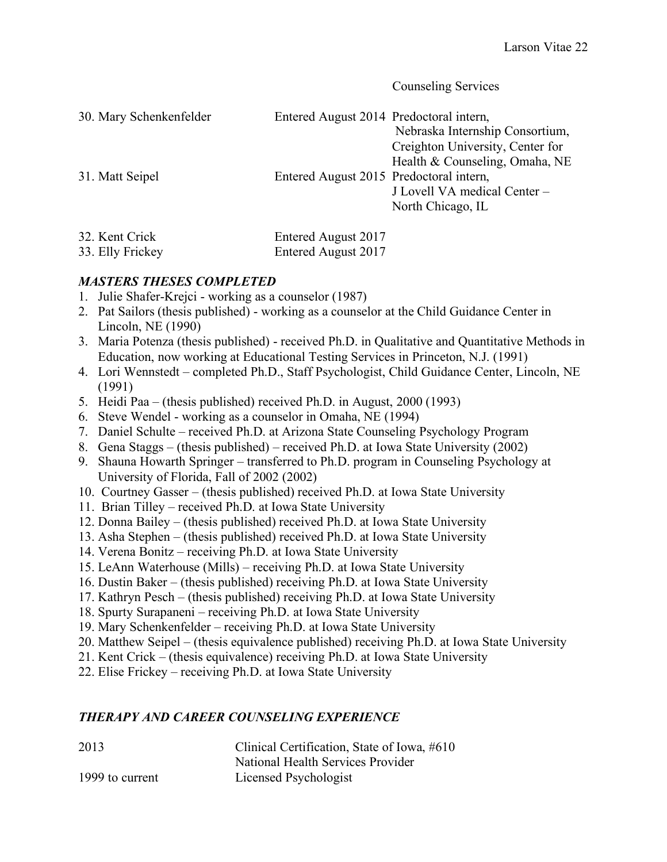Counseling Services

| 30. Mary Schenkenfelder | Entered August 2014 Predoctoral intern, | Nebraska Internship Consortium,<br>Creighton University, Center for<br>Health & Counseling, Omaha, NE |
|-------------------------|-----------------------------------------|-------------------------------------------------------------------------------------------------------|
| 31. Matt Seipel         | Entered August 2015 Predoctoral intern, | J Lovell VA medical Center -<br>North Chicago, IL                                                     |

| 32. Kent Crick   | Entered August 2017 |
|------------------|---------------------|
| 33. Elly Frickey | Entered August 2017 |

### *MASTERS THESES COMPLETED*

- 1. Julie Shafer-Krejci working as a counselor (1987)
- 2. Pat Sailors (thesis published) working as a counselor at the Child Guidance Center in Lincoln, NE (1990)
- 3. Maria Potenza (thesis published) received Ph.D. in Qualitative and Quantitative Methods in Education, now working at Educational Testing Services in Princeton, N.J. (1991)
- 4. Lori Wennstedt completed Ph.D., Staff Psychologist, Child Guidance Center, Lincoln, NE (1991)
- 5. Heidi Paa (thesis published) received Ph.D. in August, 2000 (1993)
- 6. Steve Wendel working as a counselor in Omaha, NE (1994)
- 7. Daniel Schulte received Ph.D. at Arizona State Counseling Psychology Program
- 8. Gena Staggs (thesis published) received Ph.D. at Iowa State University (2002)
- 9. Shauna Howarth Springer transferred to Ph.D. program in Counseling Psychology at University of Florida, Fall of 2002 (2002)
- 10. Courtney Gasser (thesis published) received Ph.D. at Iowa State University
- 11. Brian Tilley received Ph.D. at Iowa State University
- 12. Donna Bailey (thesis published) received Ph.D. at Iowa State University
- 13. Asha Stephen (thesis published) received Ph.D. at Iowa State University
- 14. Verena Bonitz receiving Ph.D. at Iowa State University
- 15. LeAnn Waterhouse (Mills) receiving Ph.D. at Iowa State University
- 16. Dustin Baker (thesis published) receiving Ph.D. at Iowa State University
- 17. Kathryn Pesch (thesis published) receiving Ph.D. at Iowa State University
- 18. Spurty Surapaneni receiving Ph.D. at Iowa State University
- 19. Mary Schenkenfelder receiving Ph.D. at Iowa State University
- 20. Matthew Seipel (thesis equivalence published) receiving Ph.D. at Iowa State University
- 21. Kent Crick (thesis equivalence) receiving Ph.D. at Iowa State University
- 22. Elise Frickey receiving Ph.D. at Iowa State University

#### *THERAPY AND CAREER COUNSELING EXPERIENCE*

| 2013            | Clinical Certification, State of Iowa, #610 |
|-----------------|---------------------------------------------|
|                 | National Health Services Provider           |
| 1999 to current | Licensed Psychologist                       |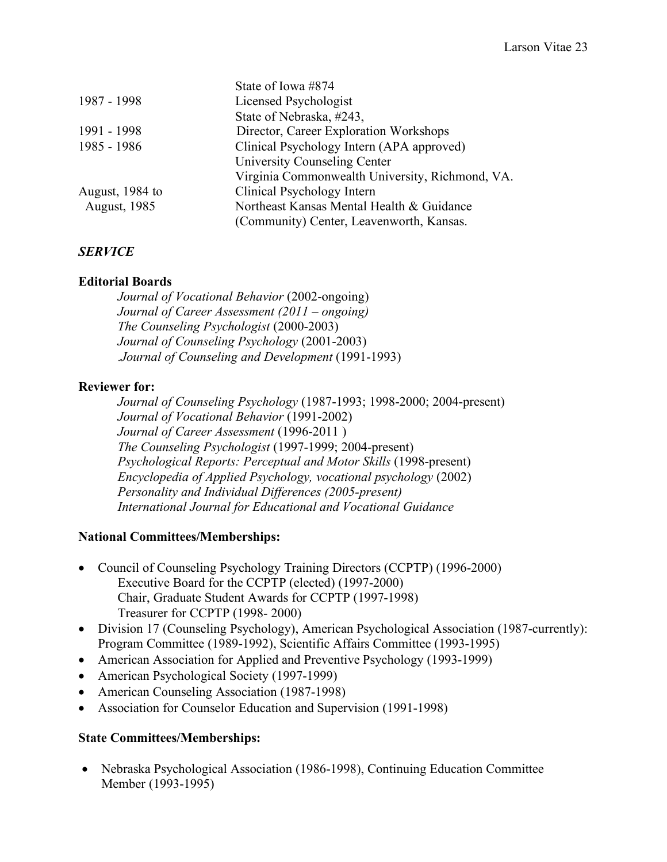|                     | State of Iowa #874                              |
|---------------------|-------------------------------------------------|
| 1987 - 1998         | Licensed Psychologist                           |
|                     | State of Nebraska, #243,                        |
| 1991 - 1998         | Director, Career Exploration Workshops          |
| 1985 - 1986         | Clinical Psychology Intern (APA approved)       |
|                     | University Counseling Center                    |
|                     | Virginia Commonwealth University, Richmond, VA. |
| August, 1984 to     | Clinical Psychology Intern                      |
| <b>August, 1985</b> | Northeast Kansas Mental Health & Guidance       |
|                     | (Community) Center, Leavenworth, Kansas.        |

## *SERVICE*

### **Editorial Boards**

*Journal of Vocational Behavior* (2002-ongoing) *Journal of Career Assessment (2011 – ongoing) The Counseling Psychologist* (2000-2003) *Journal of Counseling Psychology* (2001-2003) .*Journal of Counseling and Development* (1991-1993)

### **Reviewer for:**

*Journal of Counseling Psychology* (1987-1993; 1998-2000; 2004-present) *Journal of Vocational Behavior* (1991-2002) *Journal of Career Assessment* (1996-2011 ) *The Counseling Psychologist* (1997-1999; 2004-present) *Psychological Reports: Perceptual and Motor Skills* (1998-present) *Encyclopedia of Applied Psychology, vocational psychology* (2002) *Personality and Individual Differences (2005-present) International Journal for Educational and Vocational Guidance*

#### **National Committees/Memberships:**

- Council of Counseling Psychology Training Directors (CCPTP) (1996-2000) Executive Board for the CCPTP (elected) (1997-2000) Chair, Graduate Student Awards for CCPTP (1997-1998) Treasurer for CCPTP (1998- 2000)
- Division 17 (Counseling Psychology), American Psychological Association (1987-currently): Program Committee (1989-1992), Scientific Affairs Committee (1993-1995)
- American Association for Applied and Preventive Psychology (1993-1999)
- American Psychological Society (1997-1999)
- American Counseling Association (1987-1998)
- Association for Counselor Education and Supervision (1991-1998)

#### **State Committees/Memberships:**

• Nebraska Psychological Association (1986-1998), Continuing Education Committee Member (1993-1995)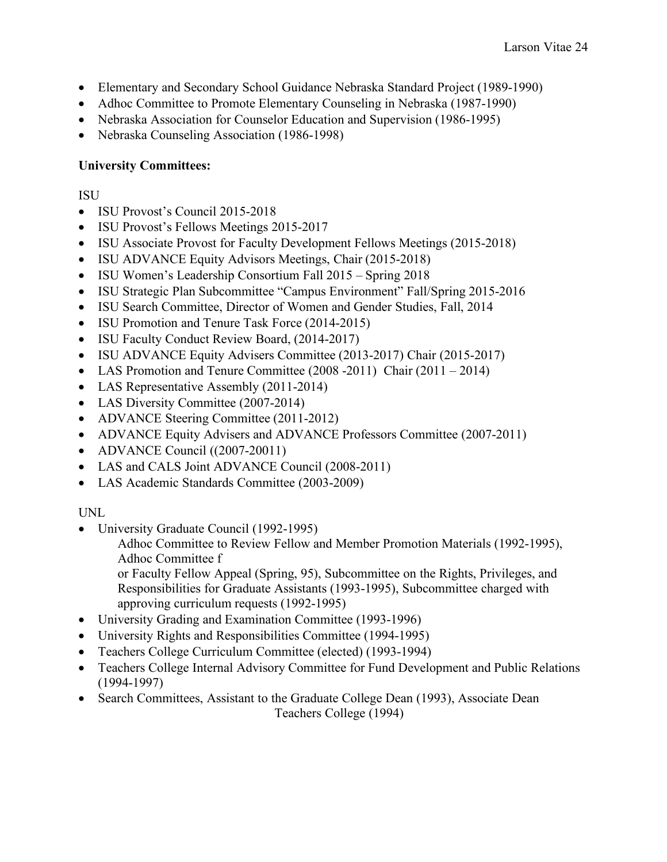- Elementary and Secondary School Guidance Nebraska Standard Project (1989-1990)
- Adhoc Committee to Promote Elementary Counseling in Nebraska (1987-1990)
- Nebraska Association for Counselor Education and Supervision (1986-1995)
- Nebraska Counseling Association (1986-1998)

### **University Committees:**

#### ISU

- ISU Provost's Council 2015-2018
- ISU Provost's Fellows Meetings 2015-2017
- ISU Associate Provost for Faculty Development Fellows Meetings (2015-2018)
- ISU ADVANCE Equity Advisors Meetings, Chair (2015-2018)
- ISU Women's Leadership Consortium Fall 2015 Spring 2018
- ISU Strategic Plan Subcommittee "Campus Environment" Fall/Spring 2015-2016
- ISU Search Committee, Director of Women and Gender Studies, Fall, 2014
- ISU Promotion and Tenure Task Force (2014-2015)
- ISU Faculty Conduct Review Board, (2014-2017)
- ISU ADVANCE Equity Advisers Committee (2013-2017) Chair (2015-2017)
- LAS Promotion and Tenure Committee (2008 -2011) Chair (2011 2014)
- LAS Representative Assembly (2011-2014)
- LAS Diversity Committee (2007-2014)
- ADVANCE Steering Committee (2011-2012)
- ADVANCE Equity Advisers and ADVANCE Professors Committee (2007-2011)
- ADVANCE Council ((2007-20011)
- LAS and CALS Joint ADVANCE Council (2008-2011)
- LAS Academic Standards Committee (2003-2009)

#### UNL

- University Graduate Council (1992-1995)
	- Adhoc Committee to Review Fellow and Member Promotion Materials (1992-1995), Adhoc Committee f

or Faculty Fellow Appeal (Spring, 95), Subcommittee on the Rights, Privileges, and Responsibilities for Graduate Assistants (1993-1995), Subcommittee charged with approving curriculum requests (1992-1995)

- University Grading and Examination Committee (1993-1996)
- University Rights and Responsibilities Committee (1994-1995)
- Teachers College Curriculum Committee (elected) (1993-1994)
- Teachers College Internal Advisory Committee for Fund Development and Public Relations (1994-1997)
- Search Committees, Assistant to the Graduate College Dean (1993), Associate Dean Teachers College (1994)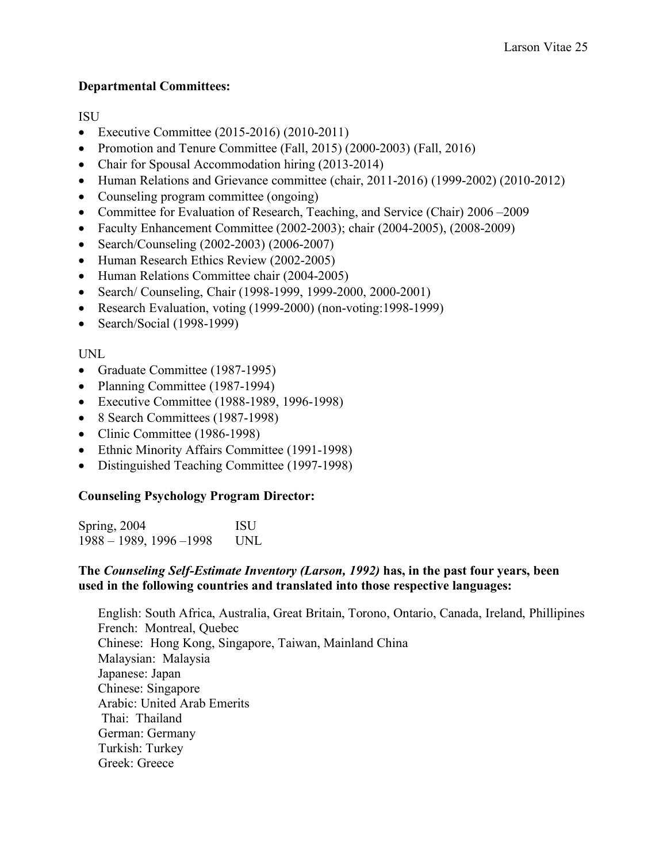#### **Departmental Committees:**

ISU

- Executive Committee (2015-2016) (2010-2011)
- Promotion and Tenure Committee (Fall, 2015) (2000-2003) (Fall, 2016)
- Chair for Spousal Accommodation hiring (2013-2014)
- Human Relations and Grievance committee (chair, 2011-2016) (1999-2002) (2010-2012)
- Counseling program committee (ongoing)
- Committee for Evaluation of Research, Teaching, and Service (Chair) 2006–2009
- Faculty Enhancement Committee (2002-2003); chair (2004-2005), (2008-2009)
- Search/Counseling (2002-2003) (2006-2007)
- Human Research Ethics Review (2002-2005)
- Human Relations Committee chair (2004-2005)
- Search/ Counseling, Chair (1998-1999, 1999-2000, 2000-2001)
- Research Evaluation, voting (1999-2000) (non-voting: 1998-1999)
- Search/Social (1998-1999)

## UNL

- Graduate Committee (1987-1995)
- Planning Committee (1987-1994)
- Executive Committee (1988-1989, 1996-1998)
- 8 Search Committees (1987-1998)
- Clinic Committee (1986-1998)
- Ethnic Minority Affairs Committee (1991-1998)
- Distinguished Teaching Committee (1997-1998)

## **Counseling Psychology Program Director:**

Spring, 2004 ISU 1988 – 1989, 1996 –1998 UNL

### **The** *Counseling Self-Estimate Inventory (Larson, 1992)* **has, in the past four years, been used in the following countries and translated into those respective languages:**

English: South Africa, Australia, Great Britain, Torono, Ontario, Canada, Ireland, Phillipines French: Montreal, Quebec Chinese: Hong Kong, Singapore, Taiwan, Mainland China Malaysian: Malaysia Japanese: Japan Chinese: Singapore Arabic: United Arab Emerits Thai: Thailand German: Germany Turkish: Turkey Greek: Greece